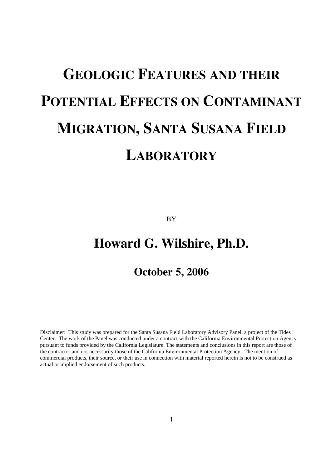# **GEOLOGIC FEATURES AND THEIR POTENTIAL EFFECTS ON CONTAMINANT MIGRATION, SANTA SUSANA FIELD LABORATORY**

BY

## **Howard G. Wilshire, Ph.D.**

### **October 5, 2006**

Disclaimer: This study was prepared for the Santa Susana Field Laboratory Advisory Panel, a project of the Tides Center. The work of the Panel was conducted under a contract with the California Environmental Protection Agency pursuant to funds provided by the California Legislature. The statements and conclusions in this report are those of the contractor and not necessarily those of the California Environmental Protection Agency. The mention of commercial products, their source, or their use in connection with material reported herein is not to be construed as actual or implied endorsement of such products.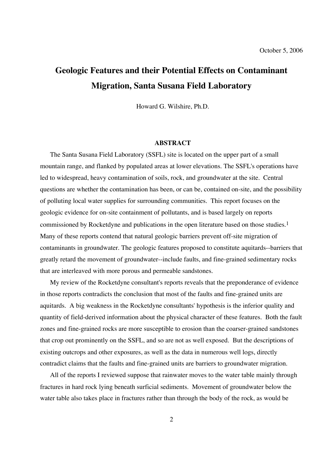## **Geologic Features and their Potential Effects on Contaminant Migration, Santa Susana Field Laboratory**

Howard G. Wilshire, Ph.D.

#### **ABSTRACT**

The Santa Susana Field Laboratory (SSFL) site is located on the upper part of a small mountain range, and flanked by populated areas at lower elevations. The SSFL's operations have led to widespread, heavy contamination of soils, rock, and groundwater at the site. Central questions are whether the contamination has been, or can be, contained on-site, and the possibility of polluting local water supplies for surrounding communities. This report focuses on the geologic evidence for on-site containment of pollutants, and is based largely on reports commissioned by Rocketdyne and publications in the open literature based on those studies.1 Many of these reports contend that natural geologic barriers prevent off-site migration of contaminants in groundwater. The geologic features proposed to constitute aquitards--barriers that greatly retard the movement of groundwater--include faults, and fine-grained sedimentary rocks that are interleaved with more porous and permeable sandstones.

My review of the Rocketdyne consultant's reports reveals that the preponderance of evidence in those reports contradicts the conclusion that most of the faults and fine-grained units are aquitards. A big weakness in the Rocketdyne consultants' hypothesis is the inferior quality and quantity of field-derived information about the physical character of these features. Both the fault zones and fine-grained rocks are more susceptible to erosion than the coarser-grained sandstones that crop out prominently on the SSFL, and so are not as well exposed. But the descriptions of existing outcrops and other exposures, as well as the data in numerous well logs, directly contradict claims that the faults and fine-grained units are barriers to groundwater migration.

All of the reports I reviewed suppose that rainwater moves to the water table mainly through fractures in hard rock lying beneath surficial sediments. Movement of groundwater below the water table also takes place in fractures rather than through the body of the rock, as would be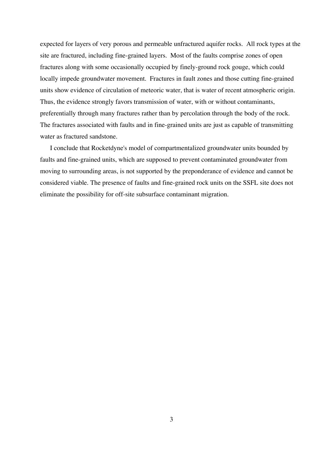expected for layers of very porous and permeable unfractured aquifer rocks. All rock types at the site are fractured, including fine-grained layers. Most of the faults comprise zones of open fractures along with some occasionally occupied by finely-ground rock gouge, which could locally impede groundwater movement. Fractures in fault zones and those cutting fine-grained units show evidence of circulation of meteoric water, that is water of recent atmospheric origin. Thus, the evidence strongly favors transmission of water, with or without contaminants, preferentially through many fractures rather than by percolation through the body of the rock. The fractures associated with faults and in fine-grained units are just as capable of transmitting water as fractured sandstone.

I conclude that Rocketdyne's model of compartmentalized groundwater units bounded by faults and fine-grained units, which are supposed to prevent contaminated groundwater from moving to surrounding areas, is not supported by the preponderance of evidence and cannot be considered viable. The presence of faults and fine-grained rock units on the SSFL site does not eliminate the possibility for off-site subsurface contaminant migration.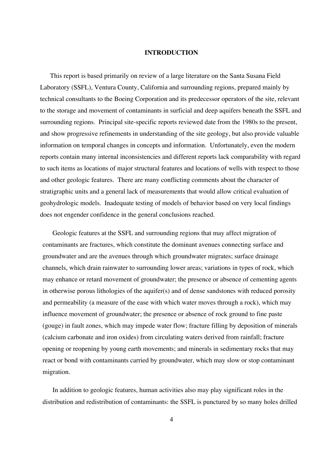#### **INTRODUCTION**

This report is based primarily on review of a large literature on the Santa Susana Field Laboratory (SSFL), Ventura County, California and surrounding regions, prepared mainly by technical consultants to the Boeing Corporation and its predecessor operators of the site, relevant to the storage and movement of contaminants in surficial and deep aquifers beneath the SSFL and surrounding regions. Principal site-specific reports reviewed date from the 1980s to the present, and show progressive refinements in understanding of the site geology, but also provide valuable information on temporal changes in concepts and information. Unfortunately, even the modern reports contain many internal inconsistencies and different reports lack comparability with regard to such items as locations of major structural features and locations of wells with respect to those and other geologic features. There are many conflicting comments about the character of stratigraphic units and a general lack of measurements that would allow critical evaluation of geohydrologic models. Inadequate testing of models of behavior based on very local findings does not engender confidence in the general conclusions reached.

Geologic features at the SSFL and surrounding regions that may affect migration of contaminants are fractures, which constitute the dominant avenues connecting surface and groundwater and are the avenues through which groundwater migrates; surface drainage channels, which drain rainwater to surrounding lower areas; variations in types of rock, which may enhance or retard movement of groundwater; the presence or absence of cementing agents in otherwise porous lithologies of the aquifer(s) and of dense sandstones with reduced porosity and permeability (a measure of the ease with which water moves through a rock), which may influence movement of groundwater; the presence or absence of rock ground to fine paste (gouge) in fault zones, which may impede water flow; fracture filling by deposition of minerals (calcium carbonate and iron oxides) from circulating waters derived from rainfall; fracture opening or reopening by young earth movements; and minerals in sedimentary rocks that may react or bond with contaminants carried by groundwater, which may slow or stop contaminant migration.

In addition to geologic features, human activities also may play significant roles in the distribution and redistribution of contaminants: the SSFL is punctured by so many holes drilled

4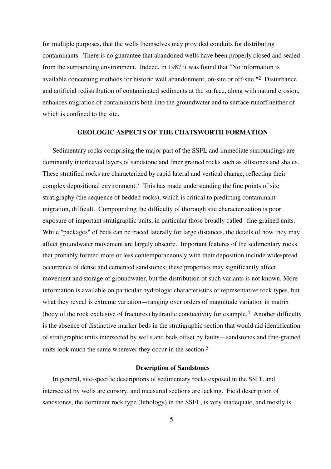for multiple purposes, that the wells themselves may provided conduits for distributing contaminants. There is no guarantee that abandoned wells have been properly closed and sealed from the surrounding environment. Indeed, in 1987 it was found that "No information is available concerning methods for historic well abandonment, on-site or off-site."2 Disturbance and artificial redistribution of contaminated sediments at the surface, along with natural erosion, enhances migration of contaminants both into the groundwater and to surface runoff neither of which is confined to the site.

#### **GEOLOGIC ASPECTS OF THE CHATSWORTH FORMATION**

Sedimentary rocks comprising the major part of the SSFL and immediate surroundings are dominantly interleaved layers of sandstone and finer grained rocks such as siltstones and shales. These stratified rocks are characterized by rapid lateral and vertical change, reflecting their complex depositional environment.<sup>3</sup> This has made understanding the fine points of site stratigraphy (the sequence of bedded rocks), which is critical to predicting contaminant migration, difficult. Compounding the difficulty of thorough site characterization is poor exposure of important stratigraphic units, in particular those broadly called "fine grained units." While "packages" of beds can be traced laterally for large distances, the details of how they may affect groundwater movement are largely obscure. Important features of the sedimentary rocks that probably formed more or less contemporaneously with their deposition include widespread occurrence of dense and cemented sandstones; these properties may significantly affect movement and storage of groundwater, but the distribution of such variants is not known. More information is available on particular hydrologic characteristics of representative rock types, but what they reveal is extreme variation—ranging over orders of magnitude variation in matrix (body of the rock exclusive of fractures) hydraulic conductivity for example.4 Another difficulty is the absence of distinctive marker beds in the stratigraphic section that would aid identification of stratigraphic units intersected by wells and beds offset by faults—sandstones and fine-grained units look much the same wherever they occur in the section.<sup>5</sup>

#### **Description of Sandstones**

In general, site-specific descriptions of sedimentary rocks exposed in the SSFL and intersected by wells are cursory, and measured sections are lacking. Field description of sandstones, the dominant rock type (lithology) in the SSFL, is very inadequate, and mostly is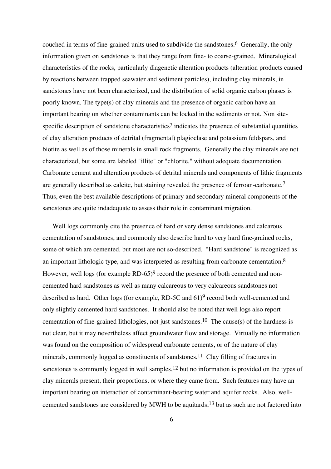couched in terms of fine-grained units used to subdivide the sandstones.<sup>6</sup> Generally, the only information given on sandstones is that they range from fine- to coarse-grained. Mineralogical characteristics of the rocks, particularly diagenetic alteration products (alteration products caused by reactions between trapped seawater and sediment particles), including clay minerals, in sandstones have not been characterized, and the distribution of solid organic carbon phases is poorly known. The type(s) of clay minerals and the presence of organic carbon have an important bearing on whether contaminants can be locked in the sediments or not. Non sitespecific description of sandstone characteristics<sup>7</sup> indicates the presence of substantial quantities of clay alteration products of detrital (fragmental) plagioclase and potassium feldspars, and biotite as well as of those minerals in small rock fragments. Generally the clay minerals are not characterized, but some are labeled "illite" or "chlorite," without adequate documentation. Carbonate cement and alteration products of detrital minerals and components of lithic fragments are generally described as calcite, but staining revealed the presence of ferroan-carbonate.7 Thus, even the best available descriptions of primary and secondary mineral components of the sandstones are quite indadequate to assess their role in contaminant migration.

Well logs commonly cite the presence of hard or very dense sandstones and calcarous cementation of sandstones, and commonly also describe hard to very hard fine-grained rocks, some of which are cemented, but most are not so-described. "Hard sandstone" is recognized as an important lithologic type, and was interpreted as resulting from carbonate cementation.8 However, well logs (for example RD-65)<sup>9</sup> record the presence of both cemented and noncemented hard sandstones as well as many calcareous to very calcareous sandstones not described as hard. Other logs (for example, RD-5C and 61)<sup>9</sup> record both well-cemented and only slightly cemented hard sandstones. It should also be noted that well logs also report cementation of fine-grained lithologies, not just sandstones.<sup>10</sup> The cause(s) of the hardness is not clear, but it may nevertheless affect groundwater flow and storage. Virtually no information was found on the composition of widespread carbonate cements, or of the nature of clay minerals, commonly logged as constituents of sandstones.<sup>11</sup> Clay filling of fractures in sandstones is commonly logged in well samples,<sup>12</sup> but no information is provided on the types of clay minerals present, their proportions, or where they came from. Such features may have an important bearing on interaction of contaminant-bearing water and aquifer rocks. Also, wellcemented sandstones are considered by MWH to be aquitards,13 but as such are not factored into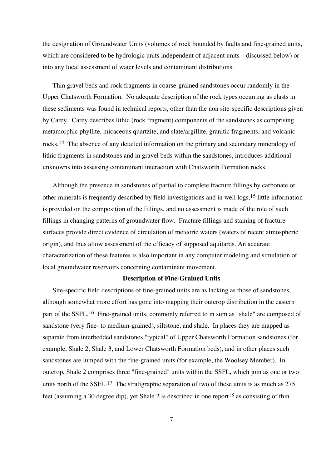the designation of Groundwater Units (volumes of rock bounded by faults and fine-grained units, which are considered to be hydrologic units independent of adjacent units—discussed below) or into any local assessment of water levels and contaminant distributions.

Thin gravel beds and rock fragments in coarse-grained sandstones occur randomly in the Upper Chatsworth Formation. No adequate description of the rock types occurring as clasts in these sediments was found in technical reports, other than the non site-specific descriptions given by Carey. Carey describes lithic (rock fragment) components of the sandstones as comprising metamorphic phyllite, micaceous quartzite, and slate/argillite, granitic fragments, and volcanic rocks.14 The absence of any detailed information on the primary and secondary mineralogy of lithic fragments in sandstones and in gravel beds within the sandstones, introduces additional unknowns into assessing contaminant interaction with Chatsworth Formation rocks.

Although the presence in sandstones of partial to complete fracture fillings by carbonate or other minerals is frequently described by field investigations and in well logs,15 little information is provided on the composition of the fillings, and no assessment is made of the role of such fillings in changing patterns of groundwater flow. Fracture fillings and staining of fracture surfaces provide direct evidence of circulation of meteoric waters (waters of recent atmospheric origin), and thus allow assessment of the efficacy of supposed aquitards. An accurate characterization of these features is also important in any computer modeling and simulation of local groundwater reservoirs concerning contaminant movement.

#### **Description of Fine-Grained Units**

Site-specific field descriptions of fine-grained units are as lacking as those of sandstones, although somewhat more effort has gone into mapping their outcrop distribution in the eastern part of the SSFL.<sup>16</sup> Fine-grained units, commonly referred to in sum as "shale" are composed of sandstone (very fine- to medium-grained), siltstone, and shale. In places they are mapped as separate from interbedded sandstones "typical" of Upper Chatsworth Formation sandstones (for example, Shale 2, Shale 3, and Lower Chatsworth Formation beds), and in other places such sandstones are lumped with the fine-grained units (for example, the Woolsey Member). In outcrop, Shale 2 comprises three "fine-grained" units within the SSFL, which join as one or two units north of the SSFL.<sup>17</sup> The stratigraphic separation of two of these units is as much as  $275$ feet (assuming a 30 degree dip), yet Shale 2 is described in one report<sup>18</sup> as consisting of thin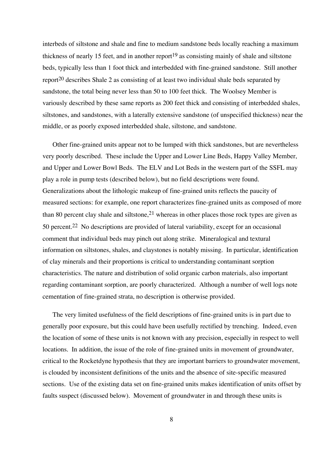interbeds of siltstone and shale and fine to medium sandstone beds locally reaching a maximum thickness of nearly 15 feet, and in another report<sup>19</sup> as consisting mainly of shale and siltstone beds, typically less than 1 foot thick and interbedded with fine-grained sandstone. Still another report<sup>20</sup> describes Shale 2 as consisting of at least two individual shale beds separated by sandstone, the total being never less than 50 to 100 feet thick. The Woolsey Member is variously described by these same reports as 200 feet thick and consisting of interbedded shales, siltstones, and sandstones, with a laterally extensive sandstone (of unspecified thickness) near the middle, or as poorly exposed interbedded shale, siltstone, and sandstone.

Other fine-grained units appear not to be lumped with thick sandstones, but are nevertheless very poorly described. These include the Upper and Lower Line Beds, Happy Valley Member, and Upper and Lower Bowl Beds. The ELV and Lot Beds in the western part of the SSFL may play a role in pump tests (described below), but no field descriptions were found. Generalizations about the lithologic makeup of fine-grained units reflects the paucity of measured sections: for example, one report characterizes fine-grained units as composed of more than 80 percent clay shale and siltstone,  $2<sup>1</sup>$  whereas in other places those rock types are given as 50 percent.22 No descriptions are provided of lateral variability, except for an occasional comment that individual beds may pinch out along strike. Mineralogical and textural information on siltstones, shales, and claystones is notably missing. In particular, identification of clay minerals and their proportions is critical to understanding contaminant sorption characteristics. The nature and distribution of solid organic carbon materials, also important regarding contaminant sorption, are poorly characterized. Although a number of well logs note cementation of fine-grained strata, no description is otherwise provided.

The very limited usefulness of the field descriptions of fine-grained units is in part due to generally poor exposure, but this could have been usefully rectified by trenching. Indeed, even the location of some of these units is not known with any precision, especially in respect to well locations. In addition, the issue of the role of fine-grained units in movement of groundwater, critical to the Rocketdyne hypothesis that they are important barriers to groundwater movement, is clouded by inconsistent definitions of the units and the absence of site-specific measured sections. Use of the existing data set on fine-grained units makes identification of units offset by faults suspect (discussed below). Movement of groundwater in and through these units is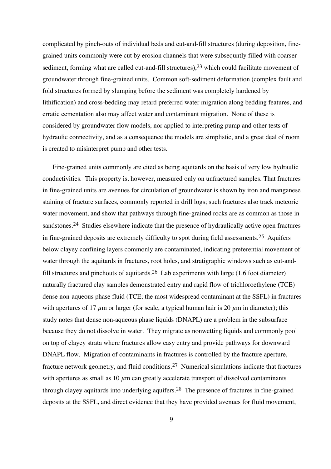complicated by pinch-outs of individual beds and cut-and-fill structures (during deposition, finegrained units commonly were cut by erosion channels that were subsequntly filled with coarser sediment, forming what are called cut-and-fill structures),  $2<sup>3</sup>$  which could facilitate movement of groundwater through fine-grained units. Common soft-sediment deformation (complex fault and fold structures formed by slumping before the sediment was completely hardened by lithification) and cross-bedding may retard preferred water migration along bedding features, and erratic cementation also may affect water and contaminant migration. None of these is considered by groundwater flow models, nor applied to interpreting pump and other tests of hydraulic connectivity, and as a consequence the models are simplistic, and a great deal of room is created to misinterpret pump and other tests.

Fine-grained units commonly are cited as being aquitards on the basis of very low hydraulic conductivities. This property is, however, measured only on unfractured samples. That fractures in fine-grained units are avenues for circulation of groundwater is shown by iron and manganese staining of fracture surfaces, commonly reported in drill logs; such fractures also track meteoric water movement, and show that pathways through fine-grained rocks are as common as those in sandstones.<sup>24</sup> Studies elsewhere indicate that the presence of hydraulically active open fractures in fine-grained deposits are extremely difficulty to spot during field assessments.<sup>25</sup> Aquifers below clayey confining layers commonly are contaminated, indicating preferential movement of water through the aquitards in fractures, root holes, and stratigraphic windows such as cut-andfill structures and pinchouts of aquitards.<sup>26</sup> Lab experiments with large  $(1.6$  foot diameter) naturally fractured clay samples demonstrated entry and rapid flow of trichloroethylene (TCE) dense non-aqueous phase fluid (TCE; the most widespread contaminant at the SSFL) in fractures with apertures of 17  $\mu$ m or larger (for scale, a typical human hair is 20  $\mu$ m in diameter); this study notes that dense non-aqueous phase liquids (DNAPL) are a problem in the subsurface because they do not dissolve in water. They migrate as nonwetting liquids and commonly pool on top of clayey strata where fractures allow easy entry and provide pathways for downward DNAPL flow. Migration of contaminants in fractures is controlled by the fracture aperture, fracture network geometry, and fluid conditions.27 Numerical simulations indicate that fractures with apertures as small as 10  $\mu$ m can greatly accelerate transport of dissolved contaminants through clayey aquitards into underlying aquifers.28 The presence of fractures in fine-grained deposits at the SSFL, and direct evidence that they have provided avenues for fluid movement,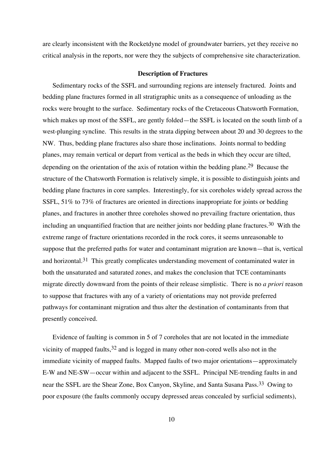are clearly inconsistent with the Rocketdyne model of groundwater barriers, yet they receive no critical analysis in the reports, nor were they the subjects of comprehensive site characterization.

#### **Description of Fractures**

Sedimentary rocks of the SSFL and surrounding regions are intensely fractured. Joints and bedding plane fractures formed in all stratigraphic units as a consequence of unloading as the rocks were brought to the surface. Sedimentary rocks of the Cretaceous Chatsworth Formation, which makes up most of the SSFL, are gently folded—the SSFL is located on the south limb of a west-plunging syncline. This results in the strata dipping between about 20 and 30 degrees to the NW. Thus, bedding plane fractures also share those inclinations. Joints normal to bedding planes, may remain vertical or depart from vertical as the beds in which they occur are tilted, depending on the orientation of the axis of rotation within the bedding plane.<sup>29</sup> Because the structure of the Chatsworth Formation is relatively simple, it is possible to distinguish joints and bedding plane fractures in core samples. Interestingly, for six coreholes widely spread across the SSFL, 51% to 73% of fractures are oriented in directions inappropriate for joints or bedding planes, and fractures in another three coreholes showed no prevailing fracture orientation, thus including an unquantified fraction that are neither joints nor bedding plane fractures.<sup>30</sup> With the extreme range of fracture orientations recorded in the rock cores, it seems unreasonable to suppose that the preferred paths for water and contaminant migration are known—that is, vertical and horizontal.<sup>31</sup> This greatly complicates understanding movement of contaminated water in both the unsaturated and saturated zones, and makes the conclusion that TCE contaminants migrate directly downward from the points of their release simplistic. There is no *a priori* reason to suppose that fractures with any of a variety of orientations may not provide preferred pathways for contaminant migration and thus alter the destination of contaminants from that presently conceived.

Evidence of faulting is common in 5 of 7 coreholes that are not located in the immediate vicinity of mapped faults,  $32$  and is logged in many other non-cored wells also not in the immediate vicinity of mapped faults. Mapped faults of two major orientations—approximately E-W and NE-SW—occur within and adjacent to the SSFL. Principal NE-trending faults in and near the SSFL are the Shear Zone, Box Canyon, Skyline, and Santa Susana Pass.33 Owing to poor exposure (the faults commonly occupy depressed areas concealed by surficial sediments),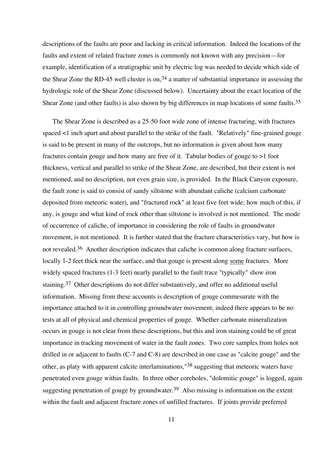descriptions of the faults are poor and lacking in critical information. Indeed the locations of the faults and extent of related fracture zones is commonly not known with any precision—for example, identification of a stratigraphic unit by electric log was needed to decide which side of the Shear Zone the RD-45 well cluster is on,  $34$  a matter of substantial importance in assessing the hydrologic role of the Shear Zone (discussed below). Uncertainty about the exact location of the Shear Zone (and other faults) is also shown by big differences in map locations of some faults.35

The Shear Zone is described as a 25-50 foot wide zone of intense fracturing, with fractures spaced <1 inch apart and about parallel to the strike of the fault. "Relatively" fine-grained gouge is said to be present in many of the outcrops, but no information is given about how many fractures contain gouge and how many are free of it. Tabular bodies of gouge to >1 foot thickness, vertical and parallel to strike of the Shear Zone, are described, but their extent is not mentioned, and no description, not even grain size, is provided. In the Black Canyon exposure, the fault zone is said to consist of sandy siltstone with abundant caliche (calcium carbonate deposited from meteoric water), and "fractured rock" at least five feet wide; how much of this, if any, is gouge and what kind of rock other than siltstone is involved is not mentioned. The mode of occurrence of caliche, of importance in considering the role of faults in groundwater movement, is not mentioned. It is further stated that the fracture characteristics vary, but how is not revealed.36 Another description indicates that caliche is common along fracture surfaces, locally 1-2 feet thick near the surface, and that gouge is present along some fractures. More widely spaced fractures (1-3 feet) nearly parallel to the fault trace "typically" show iron staining.37 Other descriptions do not differ substantively, and offer no additional useful information. Missing from these accounts is description of gouge commesurate with the importance attached to it in controlling groundwater movement; indeed there appears to be no tests at all of physical and chemical properties of gouge. Whether carbonate mineralization occurs in gouge is not clear from these descriptions, but this and iron staining could be of great importance in tracking movement of water in the fault zones. Two core samples from holes not drilled in or adjacent to faults (C-7 and C-8) are described in one case as "calcite gouge" and the other, as platy with apparent calcite interlaminations,"38 suggesting that meteoric waters have penetrated even gouge within faults. In three other coreholes, "dolomitic gouge" is logged, again suggesting penetration of gouge by groundwater.<sup>39</sup> Also missing is information on the extent within the fault and adjacent fracture zones of unfilled fractures. If joints provide preferred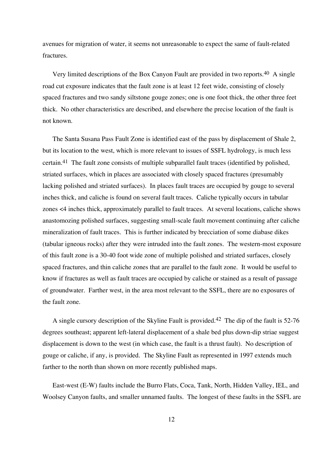avenues for migration of water, it seems not unreasonable to expect the same of fault-related fractures.

Very limited descriptions of the Box Canyon Fault are provided in two reports.40 A single road cut exposure indicates that the fault zone is at least 12 feet wide, consisting of closely spaced fractures and two sandy siltstone gouge zones; one is one foot thick, the other three feet thick. No other characteristics are described, and elsewhere the precise location of the fault is not known.

The Santa Susana Pass Fault Zone is identified east of the pass by displacement of Shale 2, but its location to the west, which is more relevant to issues of SSFL hydrology, is much less certain.41 The fault zone consists of multiple subparallel fault traces (identified by polished, striated surfaces, which in places are associated with closely spaced fractures (presumably lacking polished and striated surfaces). In places fault traces are occupied by gouge to several inches thick, and caliche is found on several fault traces. Caliche typically occurs in tabular zones <4 inches thick, approximately parallel to fault traces. At several locations, caliche shows anastomozing polished surfaces, suggesting small-scale fault movement continuing after caliche mineralization of fault traces. This is further indicated by brecciation of some diabase dikes (tabular igneous rocks) after they were intruded into the fault zones. The western-most exposure of this fault zone is a 30-40 foot wide zone of multiple polished and striated surfaces, closely spaced fractures, and thin caliche zones that are parallel to the fault zone. It would be useful to know if fractures as well as fault traces are occupied by caliche or stained as a result of passage of groundwater. Farther west, in the area most relevant to the SSFL, there are no exposures of the fault zone.

A single cursory description of the Skyline Fault is provided.42 The dip of the fault is 52-76 degrees southeast; apparent left-lateral displacement of a shale bed plus down-dip striae suggest displacement is down to the west (in which case, the fault is a thrust fault). No description of gouge or caliche, if any, is provided. The Skyline Fault as represented in 1997 extends much farther to the north than shown on more recently published maps.

East-west (E-W) faults include the Burro Flats, Coca, Tank, North, Hidden Valley, IEL, and Woolsey Canyon faults, and smaller unnamed faults. The longest of these faults in the SSFL are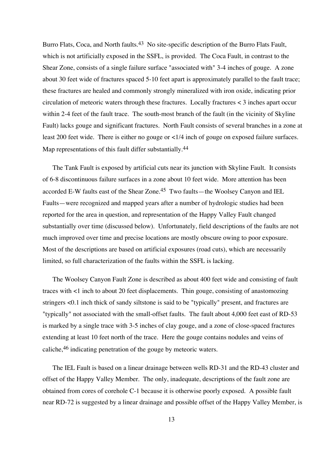Burro Flats, Coca, and North faults.<sup>43</sup> No site-specific description of the Burro Flats Fault, which is not artificially exposed in the SSFL, is provided. The Coca Fault, in contrast to the Shear Zone, consists of a single failure surface "associated with" 3-4 inches of gouge. A zone about 30 feet wide of fractures spaced 5-10 feet apart is approximately parallel to the fault trace; these fractures are healed and commonly strongly mineralized with iron oxide, indicating prior circulation of meteoric waters through these fractures. Locally fractures < 3 inches apart occur within 2-4 feet of the fault trace. The south-most branch of the fault (in the vicinity of Skyline Fault) lacks gouge and significant fractures. North Fault consists of several branches in a zone at least 200 feet wide. There is either no gouge or <1/4 inch of gouge on exposed failure surfaces. Map representations of this fault differ substantially.<sup>44</sup>

The Tank Fault is exposed by artificial cuts near its junction with Skyline Fault. It consists of 6-8 discontinuous failure surfaces in a zone about 10 feet wide. More attention has been accorded E-W faults east of the Shear Zone.45 Two faults—the Woolsey Canyon and IEL Faults—were recognized and mapped years after a number of hydrologic studies had been reported for the area in question, and representation of the Happy Valley Fault changed substantially over time (discussed below). Unfortunately, field descriptions of the faults are not much improved over time and precise locations are mostly obscure owing to poor exposure. Most of the descriptions are based on artificial exposures (road cuts), which are necessarily limited, so full characterization of the faults within the SSFL is lacking.

The Woolsey Canyon Fault Zone is described as about 400 feet wide and consisting of fault traces with <1 inch to about 20 feet displacements. Thin gouge, consisting of anastomozing stringers <0.1 inch thick of sandy siltstone is said to be "typically" present, and fractures are "typically" not associated with the small-offset faults. The fault about 4,000 feet east of RD-53 is marked by a single trace with 3-5 inches of clay gouge, and a zone of close-spaced fractures extending at least 10 feet north of the trace. Here the gouge contains nodules and veins of caliche,46 indicating penetration of the gouge by meteoric waters.

The IEL Fault is based on a linear drainage between wells RD-31 and the RD-43 cluster and offset of the Happy Valley Member. The only, inadequate, descriptions of the fault zone are obtained from cores of corehole C-1 because it is otherwise poorly exposed. A possible fault near RD-72 is suggested by a linear drainage and possible offset of the Happy Valley Member, is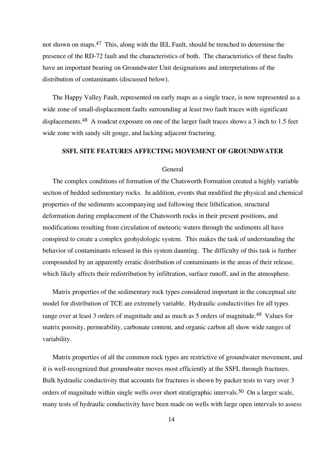not shown on maps.47 This, along with the IEL Fault, should be trenched to determine the presence of the RD-72 fault and the characteristics of both. The characteristics of these faults have an important bearing on Groundwater Unit designations and interpretations of the distribution of contaminants (discussed below).

The Happy Valley Fault, represented on early maps as a single trace, is now represented as a wide zone of small-displacement faults surrounding at least two fault traces with significant displacements.<sup>48</sup> A roadcut exposure on one of the larger fault traces shows a 3 inch to 1.5 feet wide zone with sandy silt gouge, and lacking adjacent fracturing.

#### **SSFL SITE FEATURES AFFECTING MOVEMENT OF GROUNDWATER**

#### General

The complex conditions of formation of the Chatsworth Formation created a highly variable section of bedded sedimentary rocks. In addition, events that modified the physical and chemical properties of the sediments accompanying and following their lithification, structural deformation during emplacement of the Chatsworth rocks in their present positions, and modifications resulting from circulation of meteoric waters through the sediments all have conspired to create a complex geohydologic system. This makes the task of understanding the behavior of contaminants released in this system daunting. The difficulty of this task is further compounded by an apparently erratic distribution of contaminants in the areas of their release, which likely affects their redistribution by infiltration, surface runoff, and in the atmosphere.

Matrix properties of the sedimentary rock types considered important in the conceptual site model for distribution of TCE are extremely variable. Hydraulic conductivities for all types range over at least 3 orders of magnitude and as much as 5 orders of magnitude.49 Values for matrix porosity, permeability, carbonate content, and organic carbon all show wide ranges of variability.

Matrix properties of all the common rock types are restrictive of groundwater movement, and it is well-recognized that groundwater moves most efficiently at the SSFL through fractures. Bulk hydraulic conductivity that accounts for fractures is shown by packer tests to vary over 3 orders of magnitude within single wells over short stratigraphic intervals.<sup>50</sup> On a larger scale, many tests of hydraulic conductivity have been made on wells with large open intervals to assess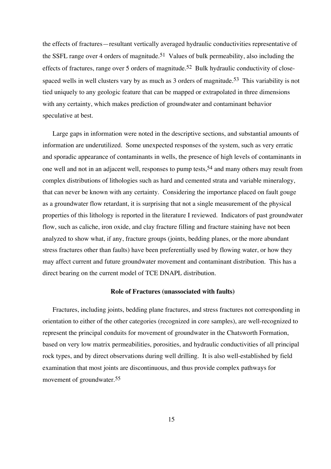the effects of fractures—resultant vertically averaged hydraulic conductivities representative of the SSFL range over 4 orders of magnitude.<sup>51</sup> Values of bulk permeability, also including the effects of fractures, range over 5 orders of magnitude.<sup>52</sup> Bulk hydraulic conductivity of closespaced wells in well clusters vary by as much as 3 orders of magnitude.<sup>53</sup> This variability is not tied uniquely to any geologic feature that can be mapped or extrapolated in three dimensions with any certainty, which makes prediction of groundwater and contaminant behavior speculative at best.

Large gaps in information were noted in the descriptive sections, and substantial amounts of information are underutilized. Some unexpected responses of the system, such as very erratic and sporadic appearance of contaminants in wells, the presence of high levels of contaminants in one well and not in an adjacent well, responses to pump tests,54 and many others may result from complex distributions of lithologies such as hard and cemented strata and variable mineralogy, that can never be known with any certainty. Considering the importance placed on fault gouge as a groundwater flow retardant, it is surprising that not a single measurement of the physical properties of this lithology is reported in the literature I reviewed. Indicators of past groundwater flow, such as caliche, iron oxide, and clay fracture filling and fracture staining have not been analyzed to show what, if any, fracture groups (joints, bedding planes, or the more abundant stress fractures other than faults) have been preferentially used by flowing water, or how they may affect current and future groundwater movement and contaminant distribution. This has a direct bearing on the current model of TCE DNAPL distribution.

#### **Role of Fractures (unassociated with faults)**

Fractures, including joints, bedding plane fractures, and stress fractures not corresponding in orientation to either of the other categories (recognized in core samples), are well-recognized to represent the principal conduits for movement of groundwater in the Chatsworth Formation, based on very low matrix permeabilities, porosities, and hydraulic conductivities of all principal rock types, and by direct observations during well drilling. It is also well-established by field examination that most joints are discontinuous, and thus provide complex pathways for movement of groundwater.55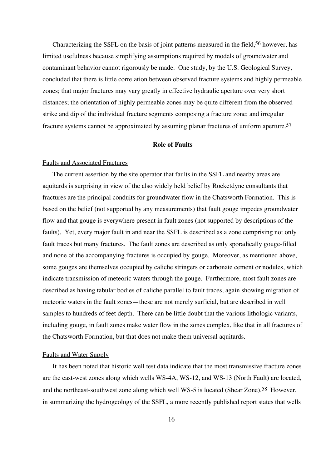Characterizing the SSFL on the basis of joint patterns measured in the field,<sup>56</sup> however, has limited usefulness because simplifying assumptions required by models of groundwater and contaminant behavior cannot rigorously be made. One study, by the U.S. Geological Survey, concluded that there is little correlation between observed fracture systems and highly permeable zones; that major fractures may vary greatly in effective hydraulic aperture over very short distances; the orientation of highly permeable zones may be quite different from the observed strike and dip of the individual fracture segments composing a fracture zone; and irregular fracture systems cannot be approximated by assuming planar fractures of uniform aperture.57

#### **Role of Faults**

#### Faults and Associated Fractures

The current assertion by the site operator that faults in the SSFL and nearby areas are aquitards is surprising in view of the also widely held belief by Rocketdyne consultants that fractures are the principal conduits for groundwater flow in the Chatsworth Formation. This is based on the belief (not supported by any measurements) that fault gouge impedes groundwater flow and that gouge is everywhere present in fault zones (not supported by descriptions of the faults). Yet, every major fault in and near the SSFL is described as a zone comprising not only fault traces but many fractures. The fault zones are described as only sporadically gouge-filled and none of the accompanying fractures is occupied by gouge. Moreover, as mentioned above, some gouges are themselves occupied by caliche stringers or carbonate cement or nodules, which indicate transmission of meteoric waters through the gouge. Furthermore, most fault zones are described as having tabular bodies of caliche parallel to fault traces, again showing migration of meteoric waters in the fault zones—these are not merely surficial, but are described in well samples to hundreds of feet depth. There can be little doubt that the various lithologic variants, including gouge, in fault zones make water flow in the zones complex, like that in all fractures of the Chatsworth Formation, but that does not make them universal aquitards.

#### Faults and Water Supply

It has been noted that historic well test data indicate that the most transmissive fracture zones are the east-west zones along which wells WS-4A, WS-12, and WS-13 (North Fault) are located, and the northeast-southwest zone along which well WS-5 is located (Shear Zone).<sup>58</sup> However, in summarizing the hydrogeology of the SSFL, a more recently published report states that wells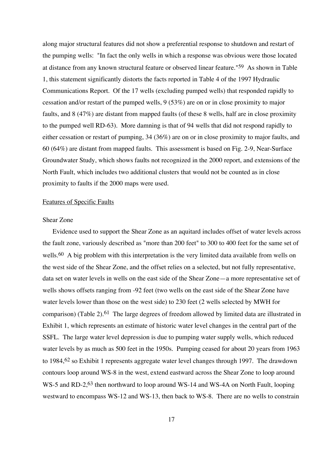along major structural features did not show a preferential response to shutdown and restart of the pumping wells: "In fact the only wells in which a response was obvious were those located at distance from any known structural feature or observed linear feature."59 As shown in Table 1, this statement significantly distorts the facts reported in Table 4 of the 1997 Hydraulic Communications Report. Of the 17 wells (excluding pumped wells) that responded rapidly to cessation and/or restart of the pumped wells, 9 (53%) are on or in close proximity to major faults, and 8 (47%) are distant from mapped faults (of these 8 wells, half are in close proximity to the pumped well RD-63). More damning is that of 94 wells that did not respond rapidly to either cessation or restart of pumping, 34 (36%) are on or in close proximity to major faults, and 60 (64%) are distant from mapped faults. This assessment is based on Fig. 2-9, Near-Surface Groundwater Study, which shows faults not recognized in the 2000 report, and extensions of the North Fault, which includes two additional clusters that would not be counted as in close proximity to faults if the 2000 maps were used.

#### Features of Specific Faults

#### Shear Zone

Evidence used to support the Shear Zone as an aquitard includes offset of water levels across the fault zone, variously described as "more than 200 feet" to 300 to 400 feet for the same set of wells.<sup>60</sup> A big problem with this interpretation is the very limited data available from wells on the west side of the Shear Zone, and the offset relies on a selected, but not fully representative, data set on water levels in wells on the east side of the Shear Zone—a more representative set of wells shows offsets ranging from -92 feet (two wells on the east side of the Shear Zone have water levels lower than those on the west side) to 230 feet (2 wells selected by MWH for comparison) (Table 2).61 The large degrees of freedom allowed by limited data are illustrated in Exhibit 1, which represents an estimate of historic water level changes in the central part of the SSFL. The large water level depression is due to pumping water supply wells, which reduced water levels by as much as 500 feet in the 1950s. Pumping ceased for about 20 years from 1963 to 1984,62 so Exhibit 1 represents aggregate water level changes through 1997. The drawdown contours loop around WS-8 in the west, extend eastward across the Shear Zone to loop around WS-5 and RD-2,<sup>63</sup> then northward to loop around WS-14 and WS-4A on North Fault, looping westward to encompass WS-12 and WS-13, then back to WS-8. There are no wells to constrain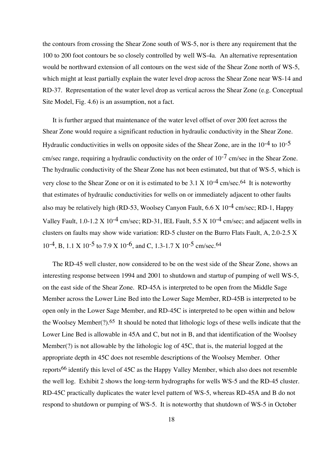the contours from crossing the Shear Zone south of WS-5, nor is there any requirement that the 100 to 200 foot contours be so closely controlled by well WS-4a. An alternative representation would be northward extension of all contours on the west side of the Shear Zone north of WS-5, which might at least partially explain the water level drop across the Shear Zone near WS-14 and RD-37. Representation of the water level drop as vertical across the Shear Zone (e.g. Conceptual Site Model, Fig. 4.6) is an assumption, not a fact.

It is further argued that maintenance of the water level offset of over 200 feet across the Shear Zone would require a significant reduction in hydraulic conductivity in the Shear Zone. Hydraulic conductivities in wells on opposite sides of the Shear Zone, are in the  $10^{-4}$  to  $10^{-5}$ cm/sec range, requiring a hydraulic conductivity on the order of  $10^{-7}$  cm/sec in the Shear Zone. The hydraulic conductivity of the Shear Zone has not been estimated, but that of WS-5, which is very close to the Shear Zone or on it is estimated to be  $3.1 \text{ X } 10^{-4} \text{ cm/sec}.$ <sup>64</sup> It is noteworthy that estimates of hydraulic conductivities for wells on or immediately adjacent to other faults also may be relatively high (RD-53, Woolsey Canyon Fault,  $6.6 \text{ X } 10^{-4} \text{ cm/sec}$ ; RD-1, Happy Valley Fault,  $1.0-1.2 \text{ X } 10^{-4}$  cm/sec; RD-31, IEL Fault,  $5.5 \text{ X } 10^{-4}$  cm/sec; and adjacent wells in clusters on faults may show wide variation: RD-5 cluster on the Burro Flats Fault, A, 2.0-2.5 X 10-4, B, 1.1 X 10-5 to 7.9 X 10-6, and C, 1.3-1.7 X 10-5 cm/sec.64

The RD-45 well cluster, now considered to be on the west side of the Shear Zone, shows an interesting response between 1994 and 2001 to shutdown and startup of pumping of well WS-5, on the east side of the Shear Zone. RD-45A is interpreted to be open from the Middle Sage Member across the Lower Line Bed into the Lower Sage Member, RD-45B is interpreted to be open only in the Lower Sage Member, and RD-45C is interpreted to be open within and below the Woolsey Member(?).65 It should be noted that lithologic logs of these wells indicate that the Lower Line Bed is allowable in 45A and C, but not in B, and that identification of the Woolsey Member(?) is not allowable by the lithologic log of 45C, that is, the material logged at the appropriate depth in 45C does not resemble descriptions of the Woolsey Member. Other reports66 identify this level of 45C as the Happy Valley Member, which also does not resemble the well log. Exhibit 2 shows the long-term hydrographs for wells WS-5 and the RD-45 cluster. RD-45C practically duplicates the water level pattern of WS-5, whereas RD-45A and B do not respond to shutdown or pumping of WS-5. It is noteworthy that shutdown of WS-5 in October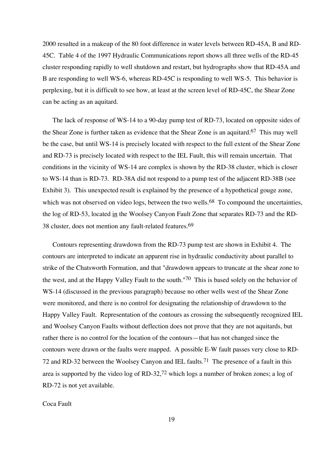2000 resulted in a makeup of the 80 foot difference in water levels between RD-45A, B and RD-45C. Table 4 of the 1997 Hydraulic Communications report shows all three wells of the RD-45 cluster responding rapidly to well shutdown and restart, but hydrographs show that RD-45A and B are responding to well WS-6, whereas RD-45C is responding to well WS-5. This behavior is perplexing, but it is difficult to see how, at least at the screen level of RD-45C, the Shear Zone can be acting as an aquitard.

The lack of response of WS-14 to a 90-day pump test of RD-73, located on opposite sides of the Shear Zone is further taken as evidence that the Shear Zone is an aquitard.67 This may well be the case, but until WS-14 is precisely located with respect to the full extent of the Shear Zone and RD-73 is precisely located with respect to the IEL Fault, this will remain uncertain. That conditions in the vicinity of WS-14 are complex is shown by the RD-38 cluster, which is closer to WS-14 than is RD-73. RD-38A did not respond to a pump test of the adjacent RD-38B (see Exhibit 3). This unexpected result is explained by the presence of a hypothetical gouge zone, which was not observed on video logs, between the two wells.<sup>68</sup> To compound the uncertainties, the log of RD-53, located in the Woolsey Canyon Fault Zone that separates RD-73 and the RD-38 cluster, does not mention any fault-related features.69

Contours representing drawdown from the RD-73 pump test are shown in Exhibit 4. The contours are interpreted to indicate an apparent rise in hydraulic conductivity about parallel to strike of the Chatsworth Formation, and that "drawdown appears to truncate at the shear zone to the west, and at the Happy Valley Fault to the south."70 This is based solely on the behavior of WS-14 (discussed in the previous paragraph) because no other wells west of the Shear Zone were monitored, and there is no control for designating the relationship of drawdown to the Happy Valley Fault. Representation of the contours as crossing the subsequently recognized IEL and Woolsey Canyon Faults without deflection does not prove that they are not aquitards, but rather there is no control for the location of the contours—that has not changed since the contours were drawn or the faults were mapped. A possible E-W fault passes very close to RD-72 and RD-32 between the Woolsey Canyon and IEL faults.71 The presence of a fault in this area is supported by the video log of RD-32,<sup>72</sup> which logs a number of broken zones; a log of RD-72 is not yet available.

Coca Fault

19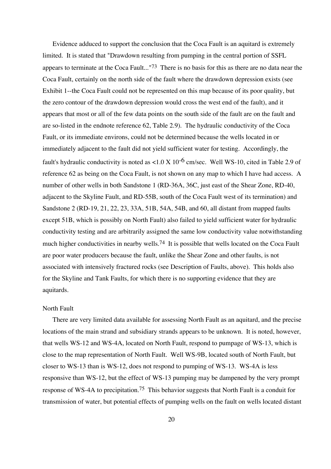Evidence adduced to support the conclusion that the Coca Fault is an aquitard is extremely limited. It is stated that "Drawdown resulting from pumping in the central portion of SSFL appears to terminate at the Coca Fault..."<sup>73</sup> There is no basis for this as there are no data near the Coca Fault, certainly on the north side of the fault where the drawdown depression exists (see Exhibit 1--the Coca Fault could not be represented on this map because of its poor quality, but the zero contour of the drawdown depression would cross the west end of the fault), and it appears that most or all of the few data points on the south side of the fault are on the fault and are so-listed in the endnote reference 62, Table 2.9). The hydraulic conductivity of the Coca Fault, or its immediate environs, could not be determined because the wells located in or immediately adjacent to the fault did not yield sufficient water for testing. Accordingly, the fault's hydraulic conductivity is noted as  $\lt 1.0 \times 10^{-6}$  cm/sec. Well WS-10, cited in Table 2.9 of reference 62 as being on the Coca Fault, is not shown on any map to which I have had access. A number of other wells in both Sandstone 1 (RD-36A, 36C, just east of the Shear Zone, RD-40, adjacent to the Skyline Fault, and RD-55B, south of the Coca Fault west of its termination) and Sandstone 2 (RD-19, 21, 22, 23, 33A, 51B, 54A, 54B, and 60, all distant from mapped faults except 51B, which is possibly on North Fault) also failed to yield sufficient water for hydraulic conductivity testing and are arbitrarily assigned the same low conductivity value notwithstanding much higher conductivities in nearby wells.<sup>74</sup> It is possible that wells located on the Coca Fault are poor water producers because the fault, unlike the Shear Zone and other faults, is not associated with intensively fractured rocks (see Description of Faults, above). This holds also for the Skyline and Tank Faults, for which there is no supporting evidence that they are aquitards.

#### North Fault

There are very limited data available for assessing North Fault as an aquitard, and the precise locations of the main strand and subsidiary strands appears to be unknown. It is noted, however, that wells WS-12 and WS-4A, located on North Fault, respond to pumpage of WS-13, which is close to the map representation of North Fault. Well WS-9B, located south of North Fault, but closer to WS-13 than is WS-12, does not respond to pumping of WS-13. WS-4A is less responsive than WS-12, but the effect of WS-13 pumping may be dampened by the very prompt response of WS-4A to precipitation.75 This behavior suggests that North Fault is a conduit for transmission of water, but potential effects of pumping wells on the fault on wells located distant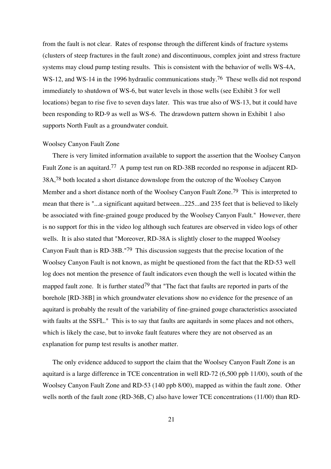from the fault is not clear. Rates of response through the different kinds of fracture systems (clusters of steep fractures in the fault zone) and discontinuous, complex joint and stress fracture systems may cloud pump testing results. This is consistent with the behavior of wells WS-4A, WS-12, and WS-14 in the 1996 hydraulic communications study.<sup>76</sup> These wells did not respond immediately to shutdown of WS-6, but water levels in those wells (see Exhibit 3 for well locations) began to rise five to seven days later. This was true also of WS-13, but it could have been responding to RD-9 as well as WS-6. The drawdown pattern shown in Exhibit 1 also supports North Fault as a groundwater conduit.

#### Woolsey Canyon Fault Zone

There is very limited information available to support the assertion that the Woolsey Canyon Fault Zone is an aquitard.<sup>77</sup> A pump test run on RD-38B recorded no response in adjacent RD-38A,78 both located a short distance downslope from the outcrop of the Woolsey Canyon Member and a short distance north of the Woolsey Canyon Fault Zone.<sup>79</sup> This is interpreted to mean that there is "...a significant aquitard between...225...and 235 feet that is believed to likely be associated with fine-grained gouge produced by the Woolsey Canyon Fault." However, there is no support for this in the video log although such features are observed in video logs of other wells. It is also stated that "Moreover, RD-38A is slightly closer to the mapped Woolsey Canyon Fault than is RD-38B."79 This discussion suggests that the precise location of the Woolsey Canyon Fault is not known, as might be questioned from the fact that the RD-53 well log does not mention the presence of fault indicators even though the well is located within the mapped fault zone. It is further stated<sup>79</sup> that "The fact that faults are reported in parts of the borehole [RD-38B] in which groundwater elevations show no evidence for the presence of an aquitard is probably the result of the variability of fine-grained gouge characteristics associated with faults at the SSFL." This is to say that faults are aquitards in some places and not others, which is likely the case, but to invoke fault features where they are not observed as an explanation for pump test results is another matter.

The only evidence adduced to support the claim that the Woolsey Canyon Fault Zone is an aquitard is a large difference in TCE concentration in well RD-72 (6,500 ppb 11/00), south of the Woolsey Canyon Fault Zone and RD-53 (140 ppb 8/00), mapped as within the fault zone. Other wells north of the fault zone (RD-36B, C) also have lower TCE concentrations (11/00) than RD-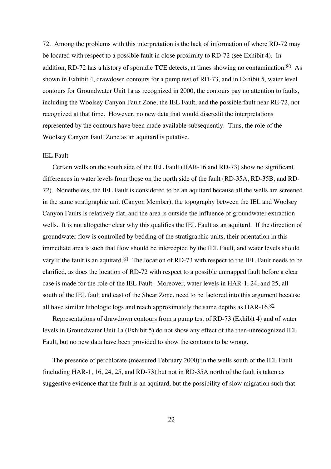72. Among the problems with this interpretation is the lack of information of where RD-72 may be located with respect to a possible fault in close proximity to RD-72 (see Exhibit 4). In addition, RD-72 has a history of sporadic TCE detects, at times showing no contamination.<sup>80</sup> As shown in Exhibit 4, drawdown contours for a pump test of RD-73, and in Exhibit 5, water level contours for Groundwater Unit 1a as recognized in 2000, the contours pay no attention to faults, including the Woolsey Canyon Fault Zone, the IEL Fault, and the possible fault near RE-72, not recognized at that time. However, no new data that would discredit the interpretations represented by the contours have been made available subsequently. Thus, the role of the Woolsey Canyon Fault Zone as an aquitard is putative.

#### IEL Fault

Certain wells on the south side of the IEL Fault (HAR-16 and RD-73) show no significant differences in water levels from those on the north side of the fault (RD-35A, RD-35B, and RD-72). Nonetheless, the IEL Fault is considered to be an aquitard because all the wells are screened in the same stratigraphic unit (Canyon Member), the topography between the IEL and Woolsey Canyon Faults is relatively flat, and the area is outside the influence of groundwater extraction wells. It is not altogether clear why this qualifies the IEL Fault as an aquitard. If the direction of groundwater flow is controlled by bedding of the stratigraphic units, their orientation in this immediate area is such that flow should be intercepted by the IEL Fault, and water levels should vary if the fault is an aquitard.<sup>81</sup> The location of RD-73 with respect to the IEL Fault needs to be clarified, as does the location of RD-72 with respect to a possible unmapped fault before a clear case is made for the role of the IEL Fault. Moreover, water levels in HAR-1, 24, and 25, all south of the IEL fault and east of the Shear Zone, need to be factored into this argument because all have similar lithologic logs and reach approximately the same depths as HAR-16.82

Representations of drawdown contours from a pump test of RD-73 (Exhibit 4) and of water levels in Groundwater Unit 1a (Exhibit 5) do not show any effect of the then-unrecognized IEL Fault, but no new data have been provided to show the contours to be wrong.

The presence of perchlorate (measured February 2000) in the wells south of the IEL Fault (including HAR-1, 16, 24, 25, and RD-73) but not in RD-35A north of the fault is taken as suggestive evidence that the fault is an aquitard, but the possibility of slow migration such that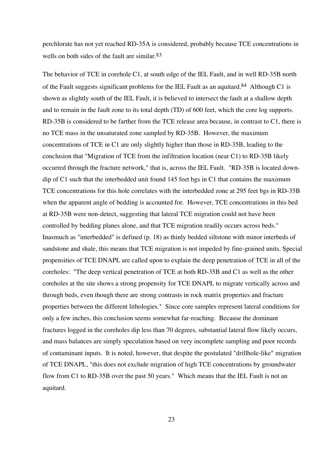perchlorate has not yet reached RD-35A is considered, probably because TCE concentrations in wells on both sides of the fault are similar.<sup>83</sup>

The behavior of TCE in corehole C1, at south edge of the IEL Fault, and in well RD-35B north of the Fault suggests significant problems for the IEL Fault as an aquitard.<sup>84</sup> Although C1 is shown as slightly south of the IEL Fault, it is believed to intersect the fault at a shallow depth and to remain in the fault zone to its total depth (TD) of 600 feet, which the core log supports. RD-35B is considered to be farther from the TCE release area because, in contrast to C1, there is no TCE mass in the unsaturated zone sampled by RD-35B. However, the maximum concentrations of TCE in C1 are only slightly higher than those in RD-35B, leading to the conclusion that "Migration of TCE from the infiltration location (near C1) to RD-35B likely occurred through the fracture network," that is, across the IEL Fault. "RD-35B is located downdip of C1 such that the interbedded unit found 145 feet bgs in C1 that contains the maximum TCE concentrations for this hole correlates with the interbedded zone at 295 feet bgs in RD-35B when the apparent angle of bedding is accounted for. However, TCE concentrations in this bed at RD-35B were non-detect, suggesting that lateral TCE migration could not have been controlled by bedding planes alone, and that TCE migration readily occurs across beds." Inasmuch as "interbedded" is defined (p. 18) as thinly bedded siltstone with minor interbeds of sandstone and shale, this means that TCE migration is not impeded by fine-grained units. Special propensities of TCE DNAPL are called upon to explain the deep penetration of TCE in all of the coreholes: "The deep vertical penetration of TCE at both RD-35B and C1 as well as the other coreholes at the site shows a strong propensity for TCE DNAPL to migrate vertically across and through beds, even though there are strong contrasts in rock matrix properties and fracture properties between the different lithologies." Since core samples represent lateral conditions for only a few inches, this conclusion seems somewhat far-reaching. Because the dominant fractures logged in the coreholes dip less than 70 degrees, substantial lateral flow likely occurs, and mass balances are simply speculation based on very incomplete sampling and poor records of contaminant inputs. It is noted, however, that despite the postulated "drillhole-like" migration of TCE DNAPL, "this does not exclude migration of high TCE concentrations by groundwater flow from C1 to RD-35B over the past 50 years." Which means that the IEL Fault is not an aquitard.

23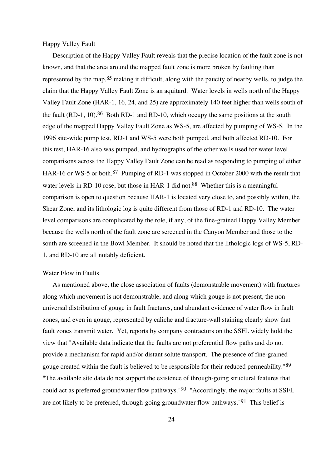#### Happy Valley Fault

Description of the Happy Valley Fault reveals that the precise location of the fault zone is not known, and that the area around the mapped fault zone is more broken by faulting than represented by the map, <sup>85</sup> making it difficult, along with the paucity of nearby wells, to judge the claim that the Happy Valley Fault Zone is an aquitard. Water levels in wells north of the Happy Valley Fault Zone (HAR-1, 16, 24, and 25) are approximately 140 feet higher than wells south of the fault (RD-1, 10).<sup>86</sup> Both RD-1 and RD-10, which occupy the same positions at the south edge of the mapped Happy Valley Fault Zone as WS-5, are affected by pumping of WS-5. In the 1996 site-wide pump test, RD-1 and WS-5 were both pumped, and both affected RD-10. For this test, HAR-16 also was pumped, and hydrographs of the other wells used for water level comparisons across the Happy Valley Fault Zone can be read as responding to pumping of either HAR-16 or WS-5 or both.<sup>87</sup> Pumping of RD-1 was stopped in October 2000 with the result that water levels in RD-10 rose, but those in HAR-1 did not.<sup>88</sup> Whether this is a meaningful comparison is open to question because HAR-1 is located very close to, and possibly within, the Shear Zone, and its lithologic log is quite different from those of RD-1 and RD-10. The water level comparisons are complicated by the role, if any, of the fine-grained Happy Valley Member because the wells north of the fault zone are screened in the Canyon Member and those to the south are screened in the Bowl Member. It should be noted that the lithologic logs of WS-5, RD-1, and RD-10 are all notably deficient.

#### Water Flow in Faults

As mentioned above, the close association of faults (demonstrable movement) with fractures along which movement is not demonstrable, and along which gouge is not present, the nonuniversal distribution of gouge in fault fractures, and abundant evidence of water flow in fault zones, and even in gouge, represented by caliche and fracture-wall staining clearly show that fault zones transmit water. Yet, reports by company contractors on the SSFL widely hold the view that "Available data indicate that the faults are not preferential flow paths and do not provide a mechanism for rapid and/or distant solute transport. The presence of fine-grained gouge created within the fault is believed to be responsible for their reduced permeability."89 "The available site data do not support the existence of through-going structural features that could act as preferred groundwater flow pathways."<sup>90</sup> "Accordingly, the major faults at SSFL are not likely to be preferred, through-going groundwater flow pathways."91 This belief is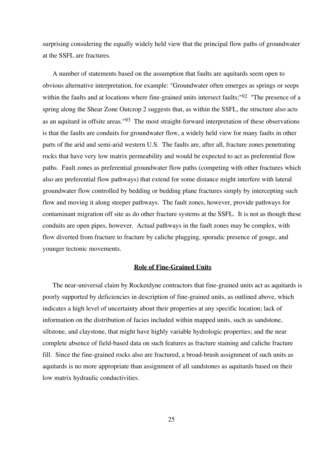surprising considering the equally widely held view that the principal flow paths of groundwater at the SSFL are fractures.

A number of statements based on the assumption that faults are aquitards seem open to obvious alternative interpretation, for example: "Groundwater often emerges as springs or seeps within the faults and at locations where fine-grained units intersect faults;<sup>"92</sup> "The presence of a spring along the Shear Zone Outcrop 2 suggests that, as within the SSFL, the structure also acts as an aquitard in offsite areas."93 The most straight-forward interpretation of these observations is that the faults are conduits for groundwater flow, a widely held view for many faults in other parts of the arid and semi-arid western U.S. The faults are, after all, fracture zones penetrating rocks that have very low matrix permeability and would be expected to act as preferential flow paths. Fault zones as preferential groundwater flow paths (competing with other fractures which also are preferential flow pathways) that extend for some distance might interfere with lateral groundwater flow controlled by bedding or bedding plane fractures simply by intercepting such flow and moving it along steeper pathways. The fault zones, however, provide pathways for contaminant migration off site as do other fracture systems at the SSFL. It is not as though these conduits are open pipes, however. Actual pathways in the fault zones may be complex, with flow diverted from fracture to fracture by caliche plugging, sporadic presence of gouge, and younger tectonic movements.

#### **Role of Fine-Grained Units**

The near-universal claim by Rocketdyne contractors that fine-grained units act as aquitards is poorly supported by deficiencies in description of fine-grained units, as outlined above, which indicates a high level of uncertainty about their properties at any specific location; lack of information on the distribution of facies included within mapped units, such as sandstone, siltstone, and claystone, that might have highly variable hydrologic properties; and the near complete absence of field-based data on such features as fracture staining and caliche fracture fill. Since the fine-grained rocks also are fractured, a broad-brush assignment of such units as aquitards is no more appropriate than assignment of all sandstones as aquitards based on their low matrix hydraulic conductivities.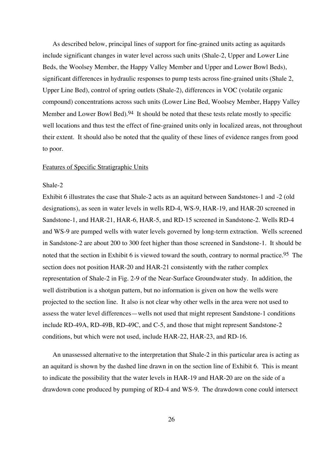As described below, principal lines of support for fine-grained units acting as aquitards include significant changes in water level across such units (Shale-2, Upper and Lower Line Beds, the Woolsey Member, the Happy Valley Member and Upper and Lower Bowl Beds), significant differences in hydraulic responses to pump tests across fine-grained units (Shale 2, Upper Line Bed), control of spring outlets (Shale-2), differences in VOC (volatile organic compound) concentrations across such units (Lower Line Bed, Woolsey Member, Happy Valley Member and Lower Bowl Bed).<sup>94</sup> It should be noted that these tests relate mostly to specific well locations and thus test the effect of fine-grained units only in localized areas, not throughout their extent. It should also be noted that the quality of these lines of evidence ranges from good to poor.

#### Features of Specific Stratigraphic Units

#### Shale-2

Exhibit 6 illustrates the case that Shale-2 acts as an aquitard between Sandstones-1 and -2 (old designations), as seen in water levels in wells RD-4, WS-9, HAR-19, and HAR-20 screened in Sandstone-1, and HAR-21, HAR-6, HAR-5, and RD-15 screened in Sandstone-2. Wells RD-4 and WS-9 are pumped wells with water levels governed by long-term extraction. Wells screened in Sandstone-2 are about 200 to 300 feet higher than those screened in Sandstone-1. It should be noted that the section in Exhibit 6 is viewed toward the south, contrary to normal practice.<sup>95</sup> The section does not position HAR-20 and HAR-21 consistently with the rather complex representation of Shale-2 in Fig. 2-9 of the Near-Surface Groundwater study. In addition, the well distribution is a shotgun pattern, but no information is given on how the wells were projected to the section line. It also is not clear why other wells in the area were not used to assess the water level differences—wells not used that might represent Sandstone-1 conditions include RD-49A, RD-49B, RD-49C, and C-5, and those that might represent Sandstone-2 conditions, but which were not used, include HAR-22, HAR-23, and RD-16.

An unassessed alternative to the interpretation that Shale-2 in this particular area is acting as an aquitard is shown by the dashed line drawn in on the section line of Exhibit 6. This is meant to indicate the possibility that the water levels in HAR-19 and HAR-20 are on the side of a drawdown cone produced by pumping of RD-4 and WS-9. The drawdown cone could intersect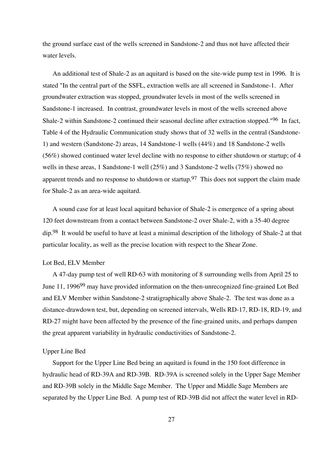the ground surface east of the wells screened in Sandstone-2 and thus not have affected their water levels.

An additional test of Shale-2 as an aquitard is based on the site-wide pump test in 1996. It is stated "In the central part of the SSFL, extraction wells are all screened in Sandstone-1. After groundwater extraction was stopped, groundwater levels in most of the wells screened in Sandstone-1 increased. In contrast, groundwater levels in most of the wells screened above Shale-2 within Sandstone-2 continued their seasonal decline after extraction stopped."96 In fact, Table 4 of the Hydraulic Communication study shows that of 32 wells in the central (Sandstone-1) and western (Sandstone-2) areas, 14 Sandstone-1 wells (44%) and 18 Sandstone-2 wells (56%) showed continued water level decline with no response to either shutdown or startup; of 4 wells in these areas, 1 Sandstone-1 well (25%) and 3 Sandstone-2 wells (75%) showed no apparent trends and no response to shutdown or startup.<sup>97</sup> This does not support the claim made for Shale-2 as an area-wide aquitard.

A sound case for at least local aquitard behavior of Shale-2 is emergence of a spring about 120 feet downstream from a contact between Sandstone-2 over Shale-2, with a 35-40 degree dip.98 It would be useful to have at least a minimal description of the lithology of Shale-2 at that particular locality, as well as the precise location with respect to the Shear Zone.

#### Lot Bed, ELV Member

A 47-day pump test of well RD-63 with monitoring of 8 surrounding wells from April 25 to June 11, 1996<sup>99</sup> may have provided information on the then-unrecognized fine-grained Lot Bed and ELV Member within Sandstone-2 stratigraphically above Shale-2. The test was done as a distance-drawdown test, but, depending on screened intervals, Wells RD-17, RD-18, RD-19, and RD-27 might have been affected by the presence of the fine-grained units, and perhaps dampen the great apparent variability in hydraulic conductivities of Sandstone-2.

#### Upper Line Bed

Support for the Upper Line Bed being an aquitard is found in the 150 foot difference in hydraulic head of RD-39A and RD-39B. RD-39A is screened solely in the Upper Sage Member and RD-39B solely in the Middle Sage Member. The Upper and Middle Sage Members are separated by the Upper Line Bed. A pump test of RD-39B did not affect the water level in RD-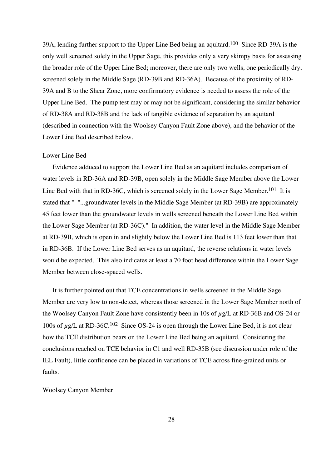39A, lending further support to the Upper Line Bed being an aquitard.100 Since RD-39A is the only well screened solely in the Upper Sage, this provides only a very skimpy basis for assessing the broader role of the Upper Line Bed; moreover, there are only two wells, one periodically dry, screened solely in the Middle Sage (RD-39B and RD-36A). Because of the proximity of RD-39A and B to the Shear Zone, more confirmatory evidence is needed to assess the role of the Upper Line Bed. The pump test may or may not be significant, considering the similar behavior of RD-38A and RD-38B and the lack of tangible evidence of separation by an aquitard (described in connection with the Woolsey Canyon Fault Zone above), and the behavior of the Lower Line Bed described below.

#### Lower Line Bed

Evidence adduced to support the Lower Line Bed as an aquitard includes comparison of water levels in RD-36A and RD-39B, open solely in the Middle Sage Member above the Lower Line Bed with that in RD-36C, which is screened solely in the Lower Sage Member.<sup>101</sup> It is stated that " "...groundwater levels in the Middle Sage Member (at RD-39B) are approximately 45 feet lower than the groundwater levels in wells screened beneath the Lower Line Bed within the Lower Sage Member (at RD-36C)." In addition, the water level in the Middle Sage Member at RD-39B, which is open in and slightly below the Lower Line Bed is 113 feet lower than that in RD-36B. If the Lower Line Bed serves as an aquitard, the reverse relations in water levels would be expected. This also indicates at least a 70 foot head difference within the Lower Sage Member between close-spaced wells.

It is further pointed out that TCE concentrations in wells screened in the Middle Sage Member are very low to non-detect, whereas those screened in the Lower Sage Member north of the Woolsey Canyon Fault Zone have consistently been in 10s of  $\mu$ g/L at RD-36B and OS-24 or 100s of  $\mu$ g/L at RD-36C.<sup>102</sup> Since OS-24 is open through the Lower Line Bed, it is not clear how the TCE distribution bears on the Lower Line Bed being an aquitard. Considering the conclusions reached on TCE behavior in C1 and well RD-35B (see discussion under role of the IEL Fault), little confidence can be placed in variations of TCE across fine-grained units or faults.

Woolsey Canyon Member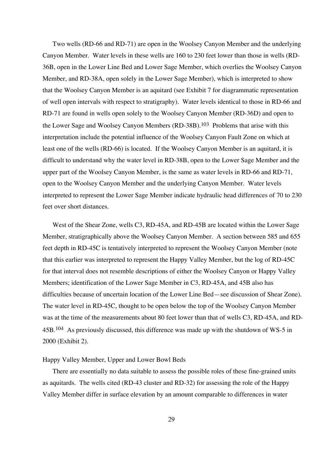Two wells (RD-66 and RD-71) are open in the Woolsey Canyon Member and the underlying Canyon Member. Water levels in these wells are 160 to 230 feet lower than those in wells (RD-36B, open in the Lower Line Bed and Lower Sage Member, which overlies the Woolsey Canyon Member, and RD-38A, open solely in the Lower Sage Member), which is interpreted to show that the Woolsey Canyon Member is an aquitard (see Exhibit 7 for diagrammatic representation of well open intervals with respect to stratigraphy). Water levels identical to those in RD-66 and RD-71 are found in wells open solely to the Woolsey Canyon Member (RD-36D) and open to the Lower Sage and Woolsey Canyon Members (RD-38B).103 Problems that arise with this interpretation include the potential influence of the Woolsey Canyon Fault Zone on which at least one of the wells (RD-66) is located. If the Woolsey Canyon Member is an aquitard, it is difficult to understand why the water level in RD-38B, open to the Lower Sage Member and the upper part of the Woolsey Canyon Member, is the same as water levels in RD-66 and RD-71, open to the Woolsey Canyon Member and the underlying Canyon Member. Water levels interpreted to represent the Lower Sage Member indicate hydraulic head differences of 70 to 230 feet over short distances.

West of the Shear Zone, wells C3, RD-45A, and RD-45B are located within the Lower Sage Member, stratigraphically above the Woolsey Canyon Member. A section between 585 and 655 feet depth in RD-45C is tentatively interpreted to represent the Woolsey Canyon Member (note that this earlier was interpreted to represent the Happy Valley Member, but the log of RD-45C for that interval does not resemble descriptions of either the Woolsey Canyon or Happy Valley Members; identification of the Lower Sage Member in C3, RD-45A, and 45B also has difficulties because of uncertain location of the Lower Line Bed—see discussion of Shear Zone). The water level in RD-45C, thought to be open below the top of the Woolsey Canyon Member was at the time of the measurements about 80 feet lower than that of wells C3, RD-45A, and RD-45B.104 As previously discussed, this difference was made up with the shutdown of WS-5 in 2000 (Exhibit 2).

#### Happy Valley Member, Upper and Lower Bowl Beds

There are essentially no data suitable to assess the possible roles of these fine-grained units as aquitards. The wells cited (RD-43 cluster and RD-32) for assessing the role of the Happy Valley Member differ in surface elevation by an amount comparable to differences in water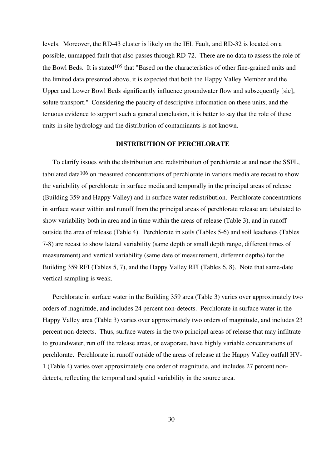levels. Moreover, the RD-43 cluster is likely on the IEL Fault, and RD-32 is located on a possible, unmapped fault that also passes through RD-72. There are no data to assess the role of the Bowl Beds. It is stated  $105$  that "Based on the characteristics of other fine-grained units and the limited data presented above, it is expected that both the Happy Valley Member and the Upper and Lower Bowl Beds significantly influence groundwater flow and subsequently [sic], solute transport." Considering the paucity of descriptive information on these units, and the tenuous evidence to support such a general conclusion, it is better to say that the role of these units in site hydrology and the distribution of contaminants is not known.

#### **DISTRIBUTION OF PERCHLORATE**

To clarify issues with the distribution and redistribution of perchlorate at and near the SSFL, tabulated data<sup>106</sup> on measured concentrations of perchlorate in various media are recast to show the variability of perchlorate in surface media and temporally in the principal areas of release (Building 359 and Happy Valley) and in surface water redistribution. Perchlorate concentrations in surface water within and runoff from the principal areas of perchlorate release are tabulated to show variability both in area and in time within the areas of release (Table 3), and in runoff outside the area of release (Table 4). Perchlorate in soils (Tables 5-6) and soil leachates (Tables 7-8) are recast to show lateral variability (same depth or small depth range, different times of measurement) and vertical variability (same date of measurement, different depths) for the Building 359 RFI (Tables 5, 7), and the Happy Valley RFI (Tables 6, 8). Note that same-date vertical sampling is weak.

Perchlorate in surface water in the Building 359 area (Table 3) varies over approximately two orders of magnitude, and includes 24 percent non-detects. Perchlorate in surface water in the Happy Valley area (Table 3) varies over approximately two orders of magnitude, and includes 23 percent non-detects. Thus, surface waters in the two principal areas of release that may infiltrate to groundwater, run off the release areas, or evaporate, have highly variable concentrations of perchlorate. Perchlorate in runoff outside of the areas of release at the Happy Valley outfall HV-1 (Table 4) varies over approximately one order of magnitude, and includes 27 percent nondetects, reflecting the temporal and spatial variability in the source area.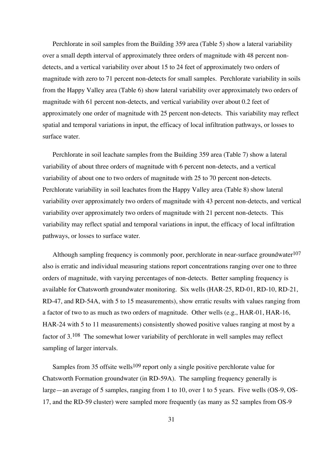Perchlorate in soil samples from the Building 359 area (Table 5) show a lateral variability over a small depth interval of approximately three orders of magnitude with 48 percent nondetects, and a vertical variability over about 15 to 24 feet of approximately two orders of magnitude with zero to 71 percent non-detects for small samples. Perchlorate variability in soils from the Happy Valley area (Table 6) show lateral variability over approximately two orders of magnitude with 61 percent non-detects, and vertical variability over about 0.2 feet of approximately one order of magnitude with 25 percent non-detects. This variability may reflect spatial and temporal variations in input, the efficacy of local infiltration pathways, or losses to surface water.

Perchlorate in soil leachate samples from the Building 359 area (Table 7) show a lateral variability of about three orders of magnitude with 6 percent non-detects, and a vertical variability of about one to two orders of magnitude with 25 to 70 percent non-detects. Perchlorate variability in soil leachates from the Happy Valley area (Table 8) show lateral variability over approximately two orders of magnitude with 43 percent non-detects, and vertical variability over approximately two orders of magnitude with 21 percent non-detects. This variability may reflect spatial and temporal variations in input, the efficacy of local infiltration pathways, or losses to surface water.

Although sampling frequency is commonly poor, perchlorate in near-surface groundwater<sup>107</sup> also is erratic and individual measuring stations report concentrations ranging over one to three orders of magnitude, with varying percentages of non-detects. Better sampling frequency is available for Chatsworth groundwater monitoring. Six wells (HAR-25, RD-01, RD-10, RD-21, RD-47, and RD-54A, with 5 to 15 measurements), show erratic results with values ranging from a factor of two to as much as two orders of magnitude. Other wells (e.g., HAR-01, HAR-16, HAR-24 with 5 to 11 measurements) consistently showed positive values ranging at most by a factor of 3.108 The somewhat lower variability of perchlorate in well samples may reflect sampling of larger intervals.

Samples from 35 offsite wells<sup>109</sup> report only a single positive perchlorate value for Chatsworth Formation groundwater (in RD-59A). The sampling frequency generally is large—an average of 5 samples, ranging from 1 to 10, over 1 to 5 years. Five wells (OS-9, OS-17, and the RD-59 cluster) were sampled more frequently (as many as 52 samples from OS-9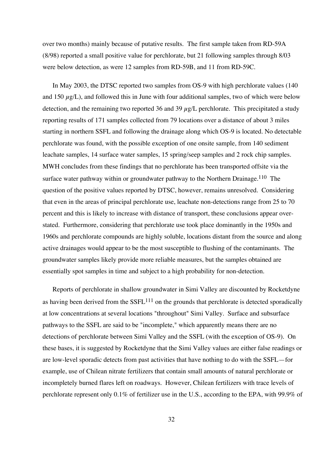over two months) mainly because of putative results. The first sample taken from RD-59A (8/98) reported a small positive value for perchlorate, but 21 following samples through 8/03 were below detection, as were 12 samples from RD-59B, and 11 from RD-59C.

In May 2003, the DTSC reported two samples from OS-9 with high perchlorate values (140) and 150  $\mu$ g/L), and followed this in June with four additional samples, two of which were below detection, and the remaining two reported 36 and 39  $\mu$ g/L perchlorate. This precipitated a study reporting results of 171 samples collected from 79 locations over a distance of about 3 miles starting in northern SSFL and following the drainage along which OS-9 is located. No detectable perchlorate was found, with the possible exception of one onsite sample, from 140 sediment leachate samples, 14 surface water samples, 15 spring/seep samples and 2 rock chip samples. MWH concludes from these findings that no perchlorate has been transported offsite via the surface water pathway within or groundwater pathway to the Northern Drainage.<sup>110</sup> The question of the positive values reported by DTSC, however, remains unresolved. Considering that even in the areas of principal perchlorate use, leachate non-detections range from 25 to 70 percent and this is likely to increase with distance of transport, these conclusions appear overstated. Furthermore, considering that perchlorate use took place dominantly in the 1950s and 1960s and perchlorate compounds are highly soluble, locations distant from the source and along active drainages would appear to be the most susceptible to flushing of the contaminants. The groundwater samples likely provide more reliable measures, but the samples obtained are essentially spot samples in time and subject to a high probability for non-detection.

Reports of perchlorate in shallow groundwater in Simi Valley are discounted by Rocketdyne as having been derived from the  $SSEL<sup>111</sup>$  on the grounds that perchlorate is detected sporadically at low concentrations at several locations "throughout" Simi Valley. Surface and subsurface pathways to the SSFL are said to be "incomplete," which apparently means there are no detections of perchlorate between Simi Valley and the SSFL (with the exception of OS-9). On these bases, it is suggested by Rocketdyne that the Simi Valley values are either false readings or are low-level sporadic detects from past activities that have nothing to do with the SSFL—for example, use of Chilean nitrate fertilizers that contain small amounts of natural perchlorate or incompletely burned flares left on roadways. However, Chilean fertilizers with trace levels of perchlorate represent only 0.1% of fertilizer use in the U.S., according to the EPA, with 99.9% of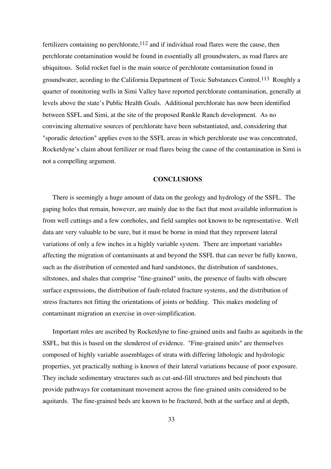fertilizers containing no perchlorate,  $112$  and if individual road flares were the cause, then perchlorate contamination would be found in essentially all groundwaters, as road flares are ubiquitous. Solid rocket fuel is the main source of perchlorate contamination found in groundwater, acording to the California Department of Toxic Substances Control.113 Roughly a quarter of monitoring wells in Simi Valley have reported perchlorate contamination, generally at levels above the state's Public Health Goals. Additional perchlorate has now been identified between SSFL and Simi, at the site of the proposed Runkle Ranch development. As no convincing alternative sources of perchlorate have been substantiated, and, considering that "sporadic detection" applies even to the SSFL areas in which perchlorate use was concentrated, Rocketdyne's claim about fertilizer or road flares being the cause of the contamination in Simi is not a compelling argument.

#### **CONCLUSIONS**

There is seemingly a huge amount of data on the geology and hydrology of the SSFL. The gaping holes that remain, however, are mainly due to the fact that most available information is from well cuttings and a few coreholes, and field samples not known to be representative. Well data are very valuable to be sure, but it must be borne in mind that they represent lateral variations of only a few inches in a highly variable system. There are important variables affecting the migration of contaminants at and beyond the SSFL that can never be fully known, such as the distribution of cemented and hard sandstones, the distribution of sandstones, siltstones, and shales that comprise "fine-grained" units, the presence of faults with obscure surface expressions, the distribution of fault-related fracture systems, and the distribution of stress fractures not fitting the orientations of joints or bedding. This makes modeling of contaminant migration an exercise in over-simplification.

Important roles are ascribed by Rocketdyne to fine-grained units and faults as aquitards in the SSFL, but this is based on the slenderest of evidence. "Fine-grained units" are themselves composed of highly variable assemblages of strata with differing lithologic and hydrologic properties, yet practically nothing is known of their lateral variations because of poor exposure. They include sedimentary structures such as cut-and-fill structures and bed pinchouts that provide pathways for contaminant movement across the fine-grained units considered to be aquitards. The fine-grained beds are known to be fractured, both at the surface and at depth,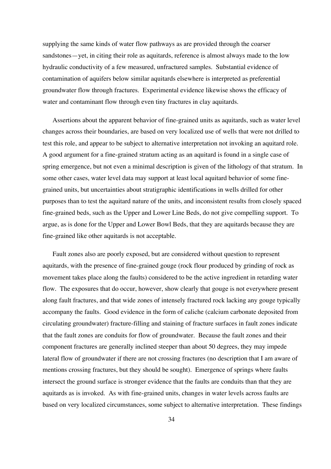supplying the same kinds of water flow pathways as are provided through the coarser sandstones—yet, in citing their role as aquitards, reference is almost always made to the low hydraulic conductivity of a few measured, unfractured samples. Substantial evidence of contamination of aquifers below similar aquitards elsewhere is interpreted as preferential groundwater flow through fractures. Experimental evidence likewise shows the efficacy of water and contaminant flow through even tiny fractures in clay aquitards.

Assertions about the apparent behavior of fine-grained units as aquitards, such as water level changes across their boundaries, are based on very localized use of wells that were not drilled to test this role, and appear to be subject to alternative interpretation not invoking an aquitard role. A good argument for a fine-grained stratum acting as an aquitard is found in a single case of spring emergence, but not even a minimal description is given of the lithology of that stratum. In some other cases, water level data may support at least local aquitard behavior of some finegrained units, but uncertainties about stratigraphic identifications in wells drilled for other purposes than to test the aquitard nature of the units, and inconsistent results from closely spaced fine-grained beds, such as the Upper and Lower Line Beds, do not give compelling support. To argue, as is done for the Upper and Lower Bowl Beds, that they are aquitards because they are fine-grained like other aquitards is not acceptable.

Fault zones also are poorly exposed, but are considered without question to represent aquitards, with the presence of fine-grained gouge (rock flour produced by grinding of rock as movement takes place along the faults) considered to be the active ingredient in retarding water flow. The exposures that do occur, however, show clearly that gouge is not everywhere present along fault fractures, and that wide zones of intensely fractured rock lacking any gouge typically accompany the faults. Good evidence in the form of caliche (calcium carbonate deposited from circulating groundwater) fracture-filling and staining of fracture surfaces in fault zones indicate that the fault zones are conduits for flow of groundwater. Because the fault zones and their component fractures are generally inclined steeper than about 50 degrees, they may impede lateral flow of groundwater if there are not crossing fractures (no description that I am aware of mentions crossing fractures, but they should be sought). Emergence of springs where faults intersect the ground surface is stronger evidence that the faults are conduits than that they are aquitards as is invoked. As with fine-grained units, changes in water levels across faults are based on very localized circumstances, some subject to alternative interpretation. These findings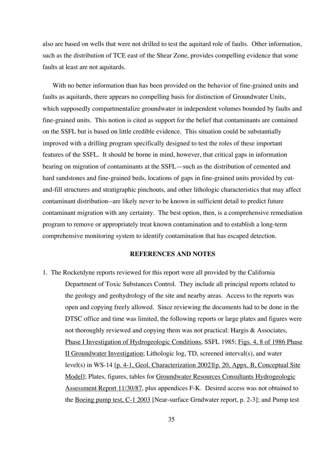also are based on wells that were not drilled to test the aquitard role of faults. Other information, such as the distribution of TCE east of the Shear Zone, provides compelling evidence that some faults at least are not aquitards.

With no better information than has been provided on the behavior of fine-grained units and faults as aquitards, there appears no compelling basis for distinction of Groundwater Units, which supposedly compartmentalize groundwater in independent volumes bounded by faults and fine-grained units. This notion is cited as support for the belief that contaminants are contained on the SSFL but is based on little credible evidence. This situation could be substantially improved with a drilling program specifically designed to test the roles of these important features of the SSFL. It should be borne in mind, however, that critical gaps in information bearing on migration of contaminants at the SSFL—such as the distribution of cemented and hard sandstones and fine-grained beds, locations of gaps in fine-grained units provided by cutand-fill structures and stratigraphic pinchouts, and other lithologic characteristics that may affect contaminant distribution--are likely never to be known in sufficient detail to predict future contaminant migration with any certainty. The best option, then, is a comprehensive remediation program to remove or appropriately treat known contamination and to establish a long-term comprehensive monitoring system to identify contamination that has escaped detection.

#### **REFERENCES AND NOTES**

1. The Rocketdyne reports reviewed for this report were all provided by the California Department of Toxic Substances Control. They include all principal reports related to the geology and geohydrology of the site and nearby areas. Access to the reports was open and copying freely allowed. Since reviewing the documents had to be done in the DTSC office and time was limited, the following reports or large plates and figures were not thoroughly reviewed and copying them was not practical: Hargis & Associates, Phase I Investigation of Hydrogeologic Conditions, SSFL 1985; Figs. 4, 8 of 1986 Phase II Groundwater Investigation; Lithologic log, TD, screened interval(s), and water level(s) in WS-14 [p. 4-1, Geol. Characterization 2002][p. 20, Appx. B, Conceptual Site Model]; Plates, figures, tables for Groundwater Resources Consultants Hydrogeologic Assessment Report 11/30/87, plus appendices F-K. Desired access was not obtained to the Boeing pump test, C-1 2003 [Near-surface Grndwater report, p. 2-3]; and Pump test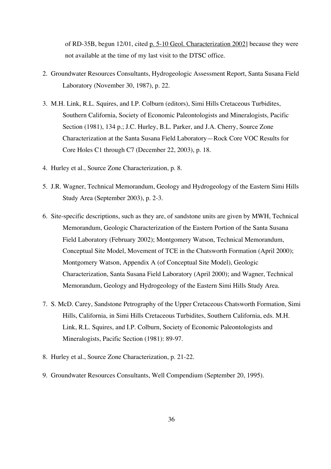of RD-35B, begun 12/01, cited p. 5-10 Geol. Characterization 2002] because they were not available at the time of my last visit to the DTSC office.

- 2. Groundwater Resources Consultants, Hydrogeologic Assessment Report, Santa Susana Field Laboratory (November 30, 1987), p. 22.
- 3. M.H. Link, R.L. Squires, and I.P. Colburn (editors), Simi Hills Cretaceous Turbidites, Southern California, Society of Economic Paleontologists and Mineralogists, Pacific Section (1981), 134 p.; J.C. Hurley, B.L. Parker, and J.A. Cherry, Source Zone Characterization at the Santa Susana Field Laboratory—Rock Core VOC Results for Core Holes C1 through C7 (December 22, 2003), p. 18.
- 4. Hurley et al., Source Zone Characterization, p. 8.
- 5. J.R. Wagner, Technical Memorandum, Geology and Hydrogeology of the Eastern Simi Hills Study Area (September 2003), p. 2-3.
- 6. Site-specific descriptions, such as they are, of sandstone units are given by MWH, Technical Memorandum, Geologic Characterization of the Eastern Portion of the Santa Susana Field Laboratory (February 2002); Montgomery Watson, Technical Memorandum, Conceptual Site Model, Movement of TCE in the Chatsworth Formation (April 2000); Montgomery Watson, Appendix A (of Conceptual Site Model), Geologic Characterization, Santa Susana Field Laboratory (April 2000); and Wagner, Technical Memorandum, Geology and Hydrogeology of the Eastern Simi Hills Study Area.
- 7. S. McD. Carey, Sandstone Petrography of the Upper Cretaceous Chatsworth Formation, Simi Hills, California, in Simi Hills Cretaceous Turbidites, Southern California, eds. M.H. Link, R.L. Squires, and I.P. Colburn, Society of Economic Paleontologists and Mineralogists, Pacific Section (1981): 89-97.
- 8. Hurley et al., Source Zone Characterization, p. 21-22.
- 9. Groundwater Resources Consultants, Well Compendium (September 20, 1995).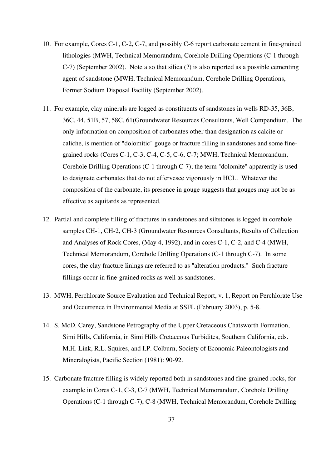- 10. For example, Cores C-1, C-2, C-7, and possibly C-6 report carbonate cement in fine-grained lithologies (MWH, Technical Memorandum, Corehole Drilling Operations (C-1 through C-7) (September 2002). Note also that silica (?) is also reported as a possible cementing agent of sandstone (MWH, Technical Memorandum, Corehole Drilling Operations, Former Sodium Disposal Facility (September 2002).
- 11. For example, clay minerals are logged as constituents of sandstones in wells RD-35, 36B, 36C, 44, 51B, 57, 58C, 61(Groundwater Resources Consultants, Well Compendium. The only information on composition of carbonates other than designation as calcite or caliche, is mention of "dolomitic" gouge or fracture filling in sandstones and some finegrained rocks (Cores C-1, C-3, C-4, C-5, C-6, C-7; MWH, Technical Memorandum, Corehole Drilling Operations (C-1 through C-7); the term "dolomite" apparently is used to designate carbonates that do not effervesce vigorously in HCL. Whatever the composition of the carbonate, its presence in gouge suggests that gouges may not be as effective as aquitards as represented.
- 12. Partial and complete filling of fractures in sandstones and siltstones is logged in corehole samples CH-1, CH-2, CH-3 (Groundwater Resources Consultants, Results of Collection and Analyses of Rock Cores, (May 4, 1992), and in cores C-1, C-2, and C-4 (MWH, Technical Memorandum, Corehole Drilling Operations (C-1 through C-7). In some cores, the clay fracture linings are referred to as "alteration products." Such fracture fillings occur in fine-grained rocks as well as sandstones.
- 13. MWH, Perchlorate Source Evaluation and Technical Report, v. 1, Report on Perchlorate Use and Occurrence in Environmental Media at SSFL (February 2003), p. 5-8.
- 14. S. McD. Carey, Sandstone Petrography of the Upper Cretaceous Chatsworth Formation, Simi Hills, California, in Simi Hills Cretaceous Turbidites, Southern California, eds. M.H. Link, R.L. Squires, and I.P. Colburn, Society of Economic Paleontologists and Mineralogists, Pacific Section (1981): 90-92.
- 15. Carbonate fracture filling is widely reported both in sandstones and fine-grained rocks, for example in Cores C-1, C-3, C-7 (MWH, Technical Memorandum, Corehole Drilling Operations (C-1 through C-7), C-8 (MWH, Technical Memorandum, Corehole Drilling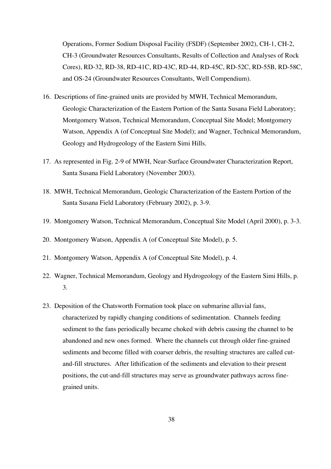Operations, Former Sodium Disposal Facility (FSDF) (September 2002), CH-1, CH-2, CH-3 (Groundwater Resources Consultants, Results of Collection and Analyses of Rock Cores), RD-32, RD-38, RD-41C, RD-43C, RD-44, RD-45C, RD-52C, RD-55B, RD-58C, and OS-24 (Groundwater Resources Consultants, Well Compendium).

- 16. Descriptions of fine-grained units are provided by MWH, Technical Memorandum, Geologic Characterization of the Eastern Portion of the Santa Susana Field Laboratory; Montgomery Watson, Technical Memorandum, Conceptual Site Model; Montgomery Watson, Appendix A (of Conceptual Site Model); and Wagner, Technical Memorandum, Geology and Hydrogeology of the Eastern Simi Hills.
- 17. As represented in Fig. 2-9 of MWH, Near-Surface Groundwater Characterization Report, Santa Susana Field Laboratory (November 2003).
- 18. MWH, Technical Memorandum, Geologic Characterization of the Eastern Portion of the Santa Susana Field Laboratory (February 2002), p. 3-9.
- 19. Montgomery Watson, Technical Memorandum, Conceptual Site Model (April 2000), p. 3-3.
- 20. Montgomery Watson, Appendix A (of Conceptual Site Model), p. 5.
- 21. Montgomery Watson, Appendix A (of Conceptual Site Model), p. 4.
- 22. Wagner, Technical Memorandum, Geology and Hydrogeology of the Eastern Simi Hills, p. 3.
- 23. Deposition of the Chatsworth Formation took place on submarine alluvial fans, characterized by rapidly changing conditions of sedimentation. Channels feeding sediment to the fans periodically became choked with debris causing the channel to be abandoned and new ones formed. Where the channels cut through older fine-grained sediments and become filled with coarser debris, the resulting structures are called cutand-fill structures. After lithification of the sediments and elevation to their present positions, the cut-and-fill structures may serve as groundwater pathways across finegrained units.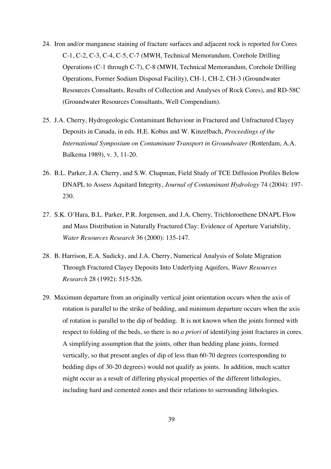- 24. Iron and/or manganese staining of fracture surfaces and adjacent rock is reported for Cores C-1, C-2, C-3, C-4, C-5, C-7 (MWH, Technical Memorandum, Corehole Drilling Operations (C-1 through C-7), C-8 (MWH, Technical Memorandum, Corehole Drilling Operations, Former Sodium Disposal Facility), CH-1, CH-2, CH-3 (Groundwater Resources Consultants, Results of Collection and Analyses of Rock Cores), and RD-58C (Groundwater Resources Consultants, Well Compendium).
- 25. J.A. Cherry, Hydrogeologic Contaminant Behaviour in Fractured and Unfractured Clayey Deposits in Canada, in eds. H.E. Kobus and W. Kinzelbach, *Proceedings of the International Symposium on Contaminant Transport in Groundwater* (Rotterdam, A.A. Balkema 1989), v. 3, 11-20.
- 26. B.L. Parker, J.A. Cherry, and S.W. Chapman, Field Study of TCE Diffusion Profiles Below DNAPL to Assess Aquitard Integrity, *Journal of Contaminant Hydrology* 74 (2004): 197- 230.
- 27. S.K. O'Hara, B.L. Parker, P.R. Jorgensen, and J.A. Cherry, Trichloroethene DNAPL Flow and Mass Distribution in Naturally Fractured Clay: Evidence of Aperture Variability, *Water Resources Research* 36 (2000): 135-147.
- 28. B. Harrison, E.A. Sudicky, and J.A. Cherry, Numerical Analysis of Solute Migration Through Fractured Clayey Deposits Into Underlying Aquifers, *Water Resources Research* 28 (1992): 515-526.
- 29. Maximum departure from an originally vertical joint orientation occurs when the axis of rotation is parallel to the strike of bedding, and minimum departure occurs when the axis of rotation is parallel to the dip of bedding. It is not known when the joints formed with respect to folding of the beds, so there is no *a priori* of identifying joint fractures in cores. A simplifying assumption that the joints, other than bedding plane joints, formed vertically, so that present angles of dip of less than 60-70 degrees (corresponding to bedding dips of 30-20 degrees) would not qualify as joints. In addition, much scatter might occur as a result of differing physical properties of the different lithologies, including hard and cemented zones and their relations to surrounding lithologies.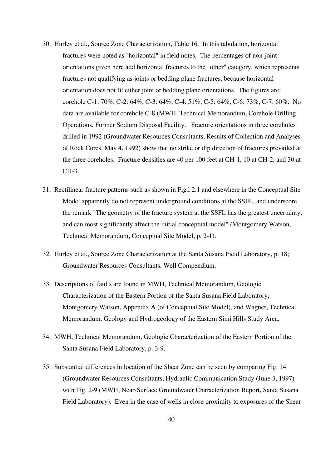- 30. Hurley et al., Source Zone Characterization, Table 16. In this tabulation, horizontal fractures were noted as "horizontal" in field notes. The percentages of non-joint orientations given here add horizontal fractures to the "other" category, which represents fractures not qualifying as joints or bedding plane fractures, because horizontal orientation does not fit either joint or bedding plane orientations. The figures are: corehole C-1: 70%, C-2: 64%, C-3: 64%, C-4: 51%, C-5: 64%, C-6: 73%, C-7: 60%. No data are available for corehole C-8 (MWH, Technical Memorandum, Corehole Drilling Operations, Former Sodium Disposal Facility. Fracture orientations in three coreholes drilled in 1992 (Groundwater Resources Consultants, Results of Collection and Analyses of Rock Cores, May 4, 1992) show that no strike or dip direction of fractures prevailed at the three coreholes. Fracture densities are 40 per 100 feet at CH-1, 10 at CH-2, and 30 at CH-3.
- 31. Rectilinear fracture patterns such as shown in Fig.l 2.1 and elsewhere in the Conceptual Site Model apparently do not represent underground conditions at the SSFL, and underscore the remark "The geometry of the fracture system at the SSFL has the greatest uncertainty, and can most significantly affect the initial conceptual model" (Montgomery Watson, Technical Memorandum, Conceptual Site Model, p. 2-1).
- 32. Hurley et al., Source Zone Characterization at the Santa Susana Field Laboratory, p. 18; Groundwater Resources Consultants, Well Compendium.
- 33. Descriptions of faults are found in MWH, Technical Memorandum, Geologic Characterization of the Eastern Portion of the Santa Susana Field Laboratory, Montgomery Watson, Appendix A (of Conceptual Site Model), and Wagner, Technical Memorandum, Geology and Hydrogeology of the Eastern Simi Hills Study Area.
- 34. MWH, Technical Memorandum, Geologic Characterization of the Eastern Portion of the Santa Susana Field Laboratory, p. 3-9.
- 35. Substantial differences in location of the Shear Zone can be seen by comparing Fig. 14 (Groundwater Resources Consultants, Hydraulic Communication Study (June 3, 1997) with Fig. 2-9 (MWH, Near-Surface Groundwater Characterization Report, Santa Susana Field Laboratory). Even in the case of wells in close proximity to exposures of the Shear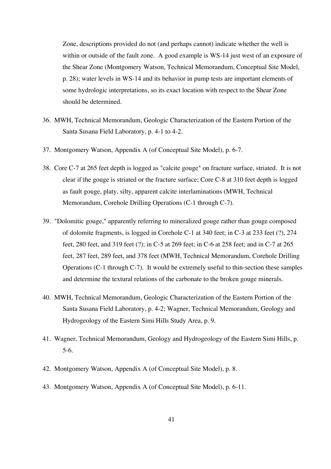Zone, descriptions provided do not (and perhaps cannot) indicate whether the well is within or outside of the fault zone. A good example is WS-14 just west of an exposure of the Shear Zone (Montgomery Watson, Technical Memorandum, Conceptual Site Model, p. 28); water levels in WS-14 and its behavior in pump tests are important elements of some hydrologic interpretations, so its exact location with respect to the Shear Zone should be determined.

- 36. MWH, Technical Memorandum, Geologic Characterization of the Eastern Portion of the Santa Susana Field Laboratory, p. 4-1 to 4-2.
- 37. Montgomery Watson, Appendix A (of Conceptual Site Model), p. 6-7.
- 38. Core C-7 at 265 feet depth is logged as "calcite gouge" on fracture surface, striated. It is not clear if the gouge is striated or the fracture surface; Core C-8 at 310 feet depth is logged as fault gouge, platy, silty, apparent calcite interlaminations (MWH, Technical Memorandum, Corehole Drilling Operations (C-1 through C-7).
- 39. "Dolomitic gouge," apparently referring to mineralized gouge rather than gouge composed of dolomite fragments, is logged in Corehole C-1 at 340 feet; in C-3 at 233 feet (?), 274 feet, 280 feet, and 319 feet (?); in C-5 at 269 feet; in C-6 at 258 feet; and in C-7 at 265 feet, 287 feet, 289 feet, and 378 feet (MWH, Technical Memorandum, Corehole Drilling Operations (C-1 through C-7). It would be extremely useful to thin-section these samples and determine the textural relations of the carbonate to the broken gouge minerals.
- 40. MWH, Technical Memorandum, Geologic Characterization of the Eastern Portion of the Santa Susana Field Laboratory, p. 4-2; Wagner, Technical Memorandum, Geology and Hydrogeology of the Eastern Simi Hills Study Area, p. 9.
- 41. Wagner, Technical Memorandum, Geology and Hydrogeology of the Eastern Simi Hills, p. 5-6.
- 42. Montgomery Watson, Appendix A (of Conceptual Site Model), p. 8.
- 43. Montgomery Watson, Appendix A (of Conceptual Site Model), p. 6-11.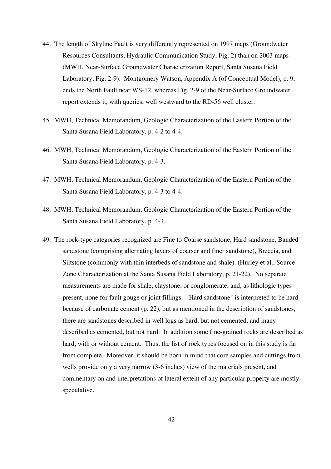- 44. The length of Skyline Fault is very differently represented on 1997 maps (Groundwater Resources Consultants, Hydraulic Communication Study, Fig. 2) than on 2003 maps (MWH, Near-Surface Groundwater Characterization Report, Santa Susana Field Laboratory, Fig. 2-9). Montgomery Watson, Appendix A (of Conceptual Model), p. 9, ends the North Fault near WS-12, whereas Fig. 2-9 of the Near-Surface Groundwater report extends it, with queries, well westward to the RD-56 well cluster.
- 45. MWH, Technical Memorandum, Geologic Characterization of the Eastern Portion of the Santa Susana Field Laboratory, p. 4-2 to 4-4.
- 46. MWH, Technical Memorandum, Geologic Characterization of the Eastern Portion of the Santa Susana Field Laboratory, p. 4-3.
- 47. MWH, Technical Memorandum, Geologic Characterization of the Eastern Portion of the Santa Susana Field Laboratory, p. 4-3 to 4-4.
- 48. MWH, Technical Memorandum, Geologic Characterization of the Eastern Portion of the Santa Susana Field Laboratory, p. 4-3.
- 49. The rock-type categories recognized are Fine to Coarse sandstone, Hard sandstone, Banded sandstone (comprising alternating layers of coarser and finer sandstone), Breccia, and Siltstone (commonly with thin interbeds of sandstone and shale). (Hurley et al., Source Zone Characterization at the Santa Susana Field Laboratory, p. 21-22). No separate measurements are made for shale, claystone, or conglomerate, and, as lithologic types present, none for fault gouge or joint fillings. "Hard sandstone" is interpreted to be hard because of carbonate cement (p. 22), but as mentioned in the description of sandstones, there are sandstones described in well logs as hard, but not cemented, and many described as cemented, but not hard. In addition some fine-grained rocks are described as hard, with or without cement. Thus, the list of rock types focused on in this study is far from complete. Moreover, it should be born in mind that core samples and cuttings from wells provide only a very narrow (3-6 inches) view of the materials present, and commentary on and interpretations of lateral extent of any particular property are mostly speculative.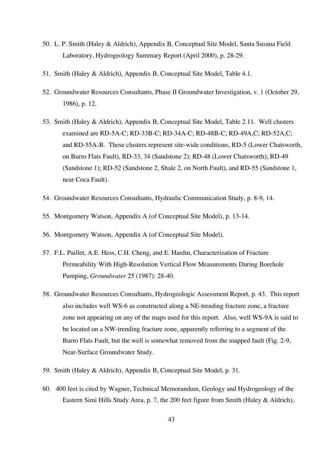- 50. L. P. Smith (Haley & Aldrich), Appendix B, Conceptual Site Model, Santa Susana Field Laboratory, Hydrogeology Summary Report (April 2000), p. 28-29.
- 51. Smith (Haley & Aldrich), Appendix B, Conceptual Site Model, Table 4.1.
- 52. Groundwater Resources Consultants, Phase II Groundwater Investigation, v. 1 (October 29, 1986), p. 12.
- 53. Smith (Haley & Aldrich), Appendix B, Conceptual Site Model, Table 2.11. Well clusters examined are RD-5A-C; RD-33B-C; RD-34A-C; RD-48B-C; RD-49A,C; RD-52A,C; and RD-55A-B. These clusters represent site-wide conditions, RD-5 (Lower Chatsworth, on Burro Flats Fault), RD-33, 34 (Sandstone 2); RD-48 (Lower Chatsworth); RD-49 (Sandstone 1); RD-52 (Sandstone 2, Shale 2, on North Fault), and RD-55 (Sandstone 1, near Coca Fault).
- 54. Groundwater Resources Consultants, Hydraulic Communication Study, p. 8-9, 14.
- 55. Montgomery Watson, Appendix A (of Conceptual Site Model), p. 13-14.
- 56. Montgomery Watson, Appendix A (of Conceptual Site Model).
- 57. F.L. Paillet, A.E. Hess, C.H. Cheng, and E. Hardin, Characterization of Fracture Permeability With High-Resolution Vertical Flow Measurements During Borehole Pumping, *Groundwater* 25 (1987): 28-40.
- 58. Groundwater Resources Consultants, Hydrogeologic Assessment Report, p. 43. This report also includes well WS-6 as constructed along a NE-trending fracture zone, a fracture zone not appearing on any of the maps used for this report. Also, well WS-9A is said to be located on a NW-trending fracture zone, apparently referring to a segment of the Burro Flats Fault, but the well is somewhat removed from the mapped fault (Fig. 2-9, Near-Surface Groundwater Study.
- 59. Smith (Haley & Aldrich), Appendix B, Conceptual Site Model, p. 31.
- 60. 400 feet is cited by Wagner, Technical Memorandum, Geology and Hydrogeology of the Eastern Simi Hills Study Area, p. 7, the 200 feet figure from Smith (Haley & Aldrich),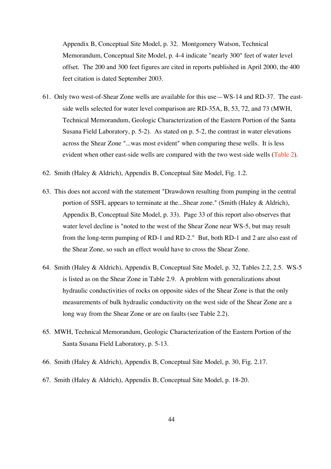Appendix B, Conceptual Site Model, p. 32. Montgomery Watson, Technical Memorandum, Conceptual Site Model, p. 4-4 indicate "nearly 300" feet of water level offset. The 200 and 300 feet figures are cited in reports published in April 2000, the 400 feet citation is dated September 2003.

- 61. Only two west-of-Shear Zone wells are available for this use—WS-14 and RD-37. The eastside wells selected for water level comparison are RD-35A, B, 53, 72, and 73 (MWH, Technical Memorandum, Geologic Characterization of the Eastern Portion of the Santa Susana Field Laboratory, p. 5-2). As stated on p. 5-2, the contrast in water elevations across the Shear Zone "...was most evident" when comparing these wells. It is less evident when other east-side wells are compared with the two west-side wells (Table 2).
- 62. Smith (Haley & Aldrich), Appendix B, Conceptual Site Model, Fig. 1.2.
- 63. This does not accord with the statement "Drawdown resulting from pumping in the central portion of SSFL appears to terminate at the...Shear zone." (Smith (Haley & Aldrich), Appendix B, Conceptual Site Model, p. 33). Page 33 of this report also observes that water level decline is "noted to the west of the Shear Zone near WS-5, but may result from the long-term pumping of RD-1 and RD-2." But, both RD-1 and 2 are also east of the Shear Zone, so such an effect would have to cross the Shear Zone.
- 64. Smith (Haley & Aldrich), Appendix B, Conceptual Site Model, p. 32, Tables 2.2, 2.5. WS-5 is listed as on the Shear Zone in Table 2.9. A problem with generalizations about hydraulic conductivities of rocks on opposite sides of the Shear Zone is that the only measurements of bulk hydraulic conductivity on the west side of the Shear Zone are a long way from the Shear Zone or are on faults (see Table 2.2).
- 65. MWH, Technical Memorandum, Geologic Characterization of the Eastern Portion of the Santa Susana Field Laboratory, p. 5-13.
- 66. Smith (Haley & Aldrich), Appendix B, Conceptual Site Model, p. 30, Fig. 2.17.
- 67. Smith (Haley & Aldrich), Appendix B, Conceptual Site Model, p. 18-20.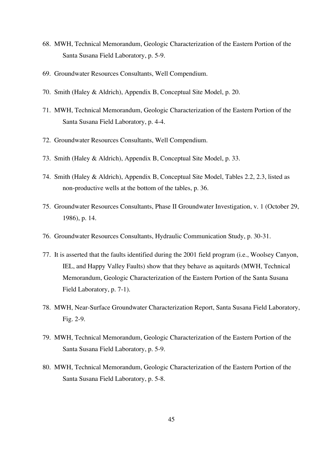- 68. MWH, Technical Memorandum, Geologic Characterization of the Eastern Portion of the Santa Susana Field Laboratory, p. 5-9.
- 69. Groundwater Resources Consultants, Well Compendium.
- 70. Smith (Haley & Aldrich), Appendix B, Conceptual Site Model, p. 20.
- 71. MWH, Technical Memorandum, Geologic Characterization of the Eastern Portion of the Santa Susana Field Laboratory, p. 4-4.
- 72. Groundwater Resources Consultants, Well Compendium.
- 73. Smith (Haley & Aldrich), Appendix B, Conceptual Site Model, p. 33.
- 74. Smith (Haley & Aldrich), Appendix B, Conceptual Site Model, Tables 2.2, 2.3, listed as non-productive wells at the bottom of the tables, p. 36.
- 75. Groundwater Resources Consultants, Phase II Groundwater Investigation, v. 1 (October 29, 1986), p. 14.
- 76. Groundwater Resources Consultants, Hydraulic Communication Study, p. 30-31.
- 77. It is asserted that the faults identified during the 2001 field program (i.e., Woolsey Canyon, IEL, and Happy Valley Faults) show that they behave as aquitards (MWH, Technical Memorandum, Geologic Characterization of the Eastern Portion of the Santa Susana Field Laboratory, p. 7-1).
- 78. MWH, Near-Surface Groundwater Characterization Report, Santa Susana Field Laboratory, Fig. 2-9.
- 79. MWH, Technical Memorandum, Geologic Characterization of the Eastern Portion of the Santa Susana Field Laboratory, p. 5-9.
- 80. MWH, Technical Memorandum, Geologic Characterization of the Eastern Portion of the Santa Susana Field Laboratory, p. 5-8.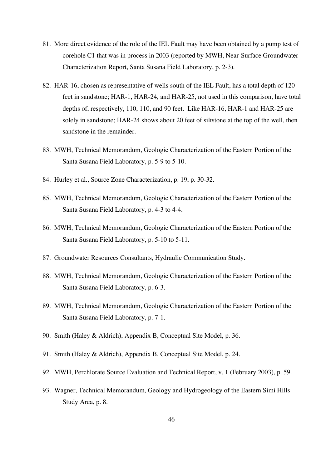- 81. More direct evidence of the role of the IEL Fault may have been obtained by a pump test of corehole C1 that was in process in 2003 (reported by MWH, Near-Surface Groundwater Characterization Report, Santa Susana Field Laboratory, p. 2-3).
- 82. HAR-16, chosen as representative of wells south of the IEL Fault, has a total depth of 120 feet in sandstone; HAR-1, HAR-24, and HAR-25, not used in this comparison, have total depths of, respectively, 110, 110, and 90 feet. Like HAR-16, HAR-1 and HAR-25 are solely in sandstone; HAR-24 shows about 20 feet of siltstone at the top of the well, then sandstone in the remainder.
- 83. MWH, Technical Memorandum, Geologic Characterization of the Eastern Portion of the Santa Susana Field Laboratory, p. 5-9 to 5-10.
- 84. Hurley et al., Source Zone Characterization, p. 19, p. 30-32.
- 85. MWH, Technical Memorandum, Geologic Characterization of the Eastern Portion of the Santa Susana Field Laboratory, p. 4-3 to 4-4.
- 86. MWH, Technical Memorandum, Geologic Characterization of the Eastern Portion of the Santa Susana Field Laboratory, p. 5-10 to 5-11.
- 87. Groundwater Resources Consultants, Hydraulic Communication Study.
- 88. MWH, Technical Memorandum, Geologic Characterization of the Eastern Portion of the Santa Susana Field Laboratory, p. 6-3.
- 89. MWH, Technical Memorandum, Geologic Characterization of the Eastern Portion of the Santa Susana Field Laboratory, p. 7-1.
- 90. Smith (Haley & Aldrich), Appendix B, Conceptual Site Model, p. 36.
- 91. Smith (Haley & Aldrich), Appendix B, Conceptual Site Model, p. 24.
- 92. MWH, Perchlorate Source Evaluation and Technical Report, v. 1 (February 2003), p. 59.
- 93. Wagner, Technical Memorandum, Geology and Hydrogeology of the Eastern Simi Hills Study Area, p. 8.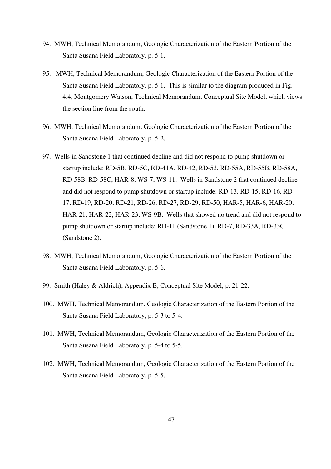- 94. MWH, Technical Memorandum, Geologic Characterization of the Eastern Portion of the Santa Susana Field Laboratory, p. 5-1.
- 95. MWH, Technical Memorandum, Geologic Characterization of the Eastern Portion of the Santa Susana Field Laboratory, p. 5-1. This is similar to the diagram produced in Fig. 4.4, Montgomery Watson, Technical Memorandum, Conceptual Site Model, which views the section line from the south.
- 96. MWH, Technical Memorandum, Geologic Characterization of the Eastern Portion of the Santa Susana Field Laboratory, p. 5-2.
- 97. Wells in Sandstone 1 that continued decline and did not respond to pump shutdown or startup include: RD-5B, RD-5C, RD-41A, RD-42, RD-53, RD-55A, RD-55B, RD-58A, RD-58B, RD-58C, HAR-8, WS-7, WS-11. Wells in Sandstone 2 that continued decline and did not respond to pump shutdown or startup include: RD-13, RD-15, RD-16, RD-17, RD-19, RD-20, RD-21, RD-26, RD-27, RD-29, RD-50, HAR-5, HAR-6, HAR-20, HAR-21, HAR-22, HAR-23, WS-9B. Wells that showed no trend and did not respond to pump shutdown or startup include: RD-11 (Sandstone 1), RD-7, RD-33A, RD-33C (Sandstone 2).
- 98. MWH, Technical Memorandum, Geologic Characterization of the Eastern Portion of the Santa Susana Field Laboratory, p. 5-6.
- 99. Smith (Haley & Aldrich), Appendix B, Conceptual Site Model, p. 21-22.
- 100. MWH, Technical Memorandum, Geologic Characterization of the Eastern Portion of the Santa Susana Field Laboratory, p. 5-3 to 5-4.
- 101. MWH, Technical Memorandum, Geologic Characterization of the Eastern Portion of the Santa Susana Field Laboratory, p. 5-4 to 5-5.
- 102. MWH, Technical Memorandum, Geologic Characterization of the Eastern Portion of the Santa Susana Field Laboratory, p. 5-5.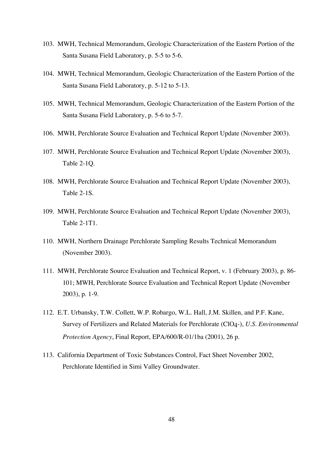- 103. MWH, Technical Memorandum, Geologic Characterization of the Eastern Portion of the Santa Susana Field Laboratory, p. 5-5 to 5-6.
- 104. MWH, Technical Memorandum, Geologic Characterization of the Eastern Portion of the Santa Susana Field Laboratory, p. 5-12 to 5-13.
- 105. MWH, Technical Memorandum, Geologic Characterization of the Eastern Portion of the Santa Susana Field Laboratory, p. 5-6 to 5-7.
- 106. MWH, Perchlorate Source Evaluation and Technical Report Update (November 2003).
- 107. MWH, Perchlorate Source Evaluation and Technical Report Update (November 2003), Table 2-1Q.
- 108. MWH, Perchlorate Source Evaluation and Technical Report Update (November 2003), Table 2-1S.
- 109. MWH, Perchlorate Source Evaluation and Technical Report Update (November 2003), Table 2-1T1.
- 110. MWH, Northern Drainage Perchlorate Sampling Results Technical Memorandum (November 2003).
- 111. MWH, Perchlorate Source Evaluation and Technical Report, v. 1 (February 2003), p. 86- 101; MWH, Perchlorate Source Evaluation and Technical Report Update (November 2003), p. 1-9.
- 112. E.T. Urbansky, T.W. Collett, W.P. Robargo, W.L. Hall, J.M. Skillen, and P.F. Kane, Survey of Fertilizers and Related Materials for Perchlorate (ClO4-), *U.S. Environmental Protection Agency*, Final Report, EPA/600/R-01/1ba (2001), 26 p.
- 113. California Department of Toxic Substances Control, Fact Sheet November 2002, Perchlorate Identified in Simi Valley Groundwater.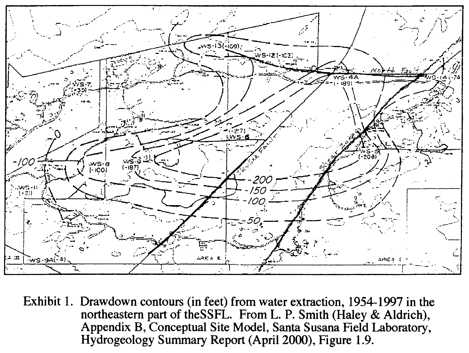

Exhibit 1. Drawdown contours (in feet) from water extraction, 1954-1997 in the northeastern part of the SSFL. From L. P. Smith (Haley & Aldrich), Appendix B, Conceptual Site Model, Santa Susana Field Laboratory, Hydrogeology Summary Report (April 2000), Figure 1.9.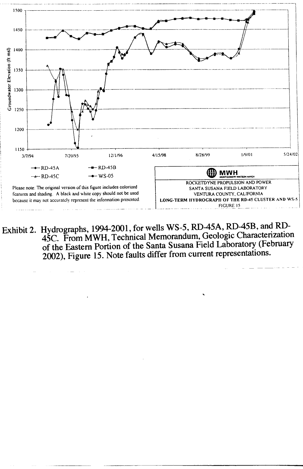

Exhibit 2. Hydrographs, 1994-2001, for wells WS-5, RD-45A, RD-45B, and RD-45C. From MWH, Technical Memorandum, Geologic Characterization of the Eastern Portion of the Santa Susana Field Laboratory (February 2002), Figure 15. Note faults differ from current representations.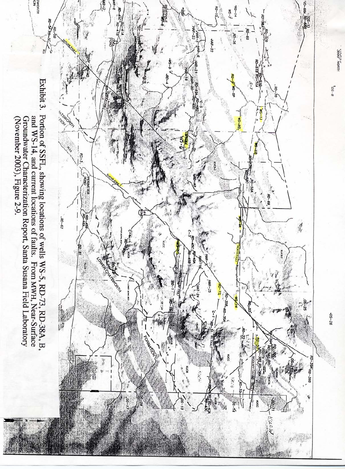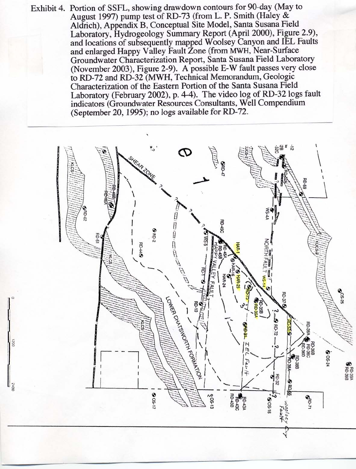Exhibit 4. Portion of SSFL, showing drawdown contours for 90-day (May to August 1997) pump test of RD-73 (from L. P. Smith (Haley & Aldrich), Appendix B, Conceptual Site Model, Santa Susana Field Laboratory, Hydrogeology Summary Report (April 2000), Figure 2.9), and locations of subsequently mapped Woolsey Canyon and IEL Faults and enlarged Happy Valley Fault Zone (from MWH, Near-Surface Groundwater Characterization Report, Santa Susana Field Laboratory (November 2003), Figure 2-9). A possible E-W fault passes very close to RD-72 and RD-32 (MWH, Technical Memorandum, Geologic Characterization of the Eastern Portion of the Santa Susana Field Laboratory (February 2002), p. 4-4). The video log of RD-32 logs fault indicators (Groundwater Resources Consultants, Well Compendium (September 20, 1995); no logs available for RD-72.



0021

 $\frac{34}{8}$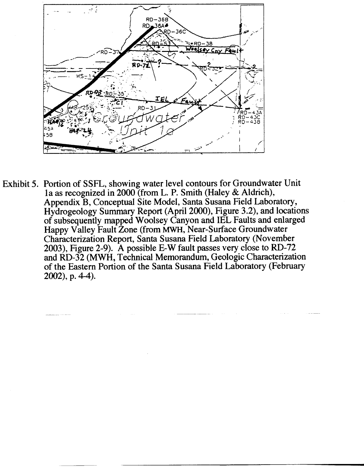

Exhibit 5. Portion of SSFL, showing water level contours for Groundwater Unit 1a as recognized in 2000 (from L. P. Smith (Haley & Aldrich), Appendix B, Conceptual Site Model, Santa Susana Field Laboratory, Hydrogeology Summary Report (April 2000), Figure 3.2), and locations of subsequently mapped Woolsey Canyon and IEL Faults and enlarged Happy Valley Fault Zone (from MWH, Near-Surface Groundwater Characterization Report, Santa Susana Field Laboratory (November 2003), Figure 2-9). A possible E-W fault passes very close to RD-72 and RD-32 (MWH, Technical Memorandum, Geologic Characterization of the Eastern Portion of the Santa Susana Field Laboratory (February  $2002$ , p. 4-4).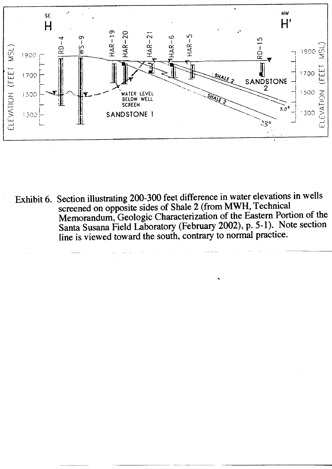

Exhibit 6. Section illustrating 200-300 feet difference in water elevations in wells screened on opposite sides of Shale 2 (from MWH, Technical Memorandum, Geologic Characterization of the Eastern Portion of the Santa Susana Field Laboratory (February 2002), p. 5-1). Note section<br>line is viewed toward the south, contrary to normal practice.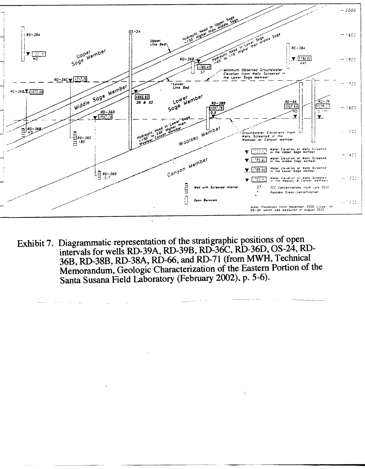

Exhibit 7. Diagrammatic representation of the stratigraphic positions of open intervals for wells RD-39A, RD-39B, RD-36C, RD-36D, OS-24, RD-36B, RD-38B, RD-38A, RD-66, and RD-71 (from MWH, Technical Memorandum, Geologic Characterization of the Eastern Portion of the Santa Susana Field Laboratory (February 2002), p. 5-6).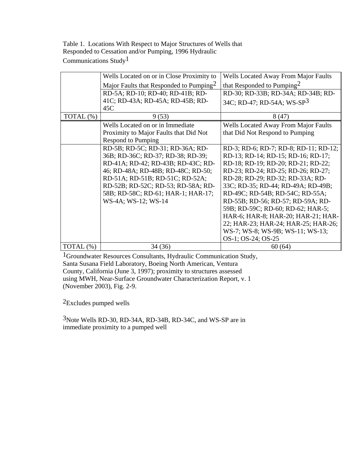Table 1. Locations With Respect to Major Structures of Wells that Responded to Cessation and/or Pumping, 1996 Hydraulic Communications Study1

|              | Wells Located on or in Close Proximity to           | <b>Wells Located Away From Major Faults</b> |
|--------------|-----------------------------------------------------|---------------------------------------------|
|              | Major Faults that Responded to Pumping <sup>2</sup> | that Responded to Pumping <sup>2</sup>      |
|              | RD-5A; RD-10; RD-40; RD-41B; RD-                    | RD-30; RD-33B; RD-34A; RD-34B; RD-          |
|              | 41C; RD-43A; RD-45A; RD-45B; RD-                    | 34C; RD-47; RD-54A; WS-SP3                  |
|              | 45C                                                 |                                             |
| TOTAL (%)    | 9(53)                                               | 8(47)                                       |
|              | Wells Located on or in Immediate                    | <b>Wells Located Away From Major Faults</b> |
|              | Proximity to Major Faults that Did Not              | that Did Not Respond to Pumping             |
|              | <b>Respond to Pumping</b>                           |                                             |
|              | RD-5B; RD-5C; RD-31; RD-36A; RD-                    | RD-3; RD-6; RD-7; RD-8; RD-11; RD-12;       |
|              | 36B; RD-36C; RD-37; RD-38; RD-39;                   | RD-13; RD-14; RD-15; RD-16; RD-17;          |
|              | RD-41A; RD-42; RD-43B; RD-43C; RD-                  | RD-18; RD-19; RD-20; RD-21; RD-22;          |
|              | 46; RD-48A; RD-48B; RD-48C; RD-50;                  | RD-23; RD-24; RD-25; RD-26; RD-27;          |
|              | RD-51A; RD-51B; RD-51C; RD-52A;                     | RD-28; RD-29; RD-32; RD-33A; RD-            |
|              | RD-52B; RD-52C; RD-53; RD-58A; RD-                  | 33C; RD-35; RD-44; RD-49A; RD-49B;          |
|              | 58B; RD-58C; RD-61; HAR-1; HAR-17;                  | RD-49C; RD-54B; RD-54C; RD-55A;             |
|              | WS-4A; WS-12; WS-14                                 | RD-55B; RD-56; RD-57; RD-59A; RD-           |
|              |                                                     | 59B; RD-59C; RD-60; RD-62; HAR-5;           |
|              |                                                     | HAR-6; HAR-8; HAR-20; HAR-21; HAR-          |
|              |                                                     | 22; HAR-23; HAR-24; HAR-25; HAR-26;         |
|              |                                                     | WS-7; WS-8; WS-9B; WS-11; WS-13;            |
|              |                                                     | OS-1; OS-24; OS-25                          |
| TOTAL $(\%)$ | 34(36)                                              | 60(64)                                      |

1Groundwater Resources Consultants, Hydraulic Communication Study, Santa Susana Field Laboratory, Boeing North American, Ventura County, California (June 3, 1997); proximity to structures assessed using MWH, Near-Surface Groundwater Characterization Report, v. 1 (November 2003), Fig. 2-9.

2Excludes pumped wells

3Note Wells RD-30, RD-34A, RD-34B, RD-34C, and WS-SP are in immediate proximity to a pumped well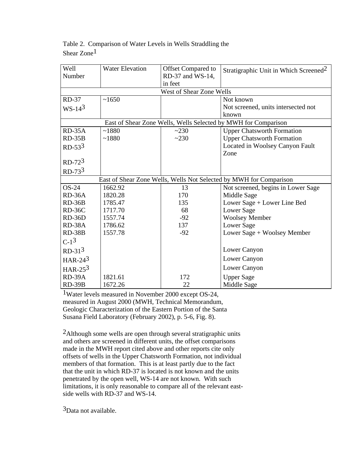| Well<br>Number | <b>Water Elevation</b>   | Offset Compared to<br>RD-37 and WS-14, | Stratigraphic Unit in Which Screened <sup>2</sup>                  |  |  |  |
|----------------|--------------------------|----------------------------------------|--------------------------------------------------------------------|--|--|--|
|                |                          | in feet                                |                                                                    |  |  |  |
|                | West of Shear Zone Wells |                                        |                                                                    |  |  |  |
| RD-37          | ~1650                    |                                        | Not known                                                          |  |  |  |
| $WS-143$       |                          |                                        | Not screened, units intersected not                                |  |  |  |
|                |                          |                                        | known                                                              |  |  |  |
|                |                          |                                        | East of Shear Zone Wells, Wells Selected by MWH for Comparison     |  |  |  |
| $RD-35A$       | ~1880                    | ~230                                   | <b>Upper Chatsworth Formation</b>                                  |  |  |  |
| $RD-35B$       | ~1880                    | ~230                                   | <b>Upper Chatsworth Formation</b>                                  |  |  |  |
| $RD-533$       |                          |                                        | Located in Woolsey Canyon Fault                                    |  |  |  |
|                |                          |                                        | Zone                                                               |  |  |  |
| $RD-723$       |                          |                                        |                                                                    |  |  |  |
| $RD-733$       |                          |                                        |                                                                    |  |  |  |
|                |                          |                                        | East of Shear Zone Wells, Wells Not Selected by MWH for Comparison |  |  |  |
| <b>OS-24</b>   | 1662.92                  | 13                                     | Not screened, begins in Lower Sage                                 |  |  |  |
| RD-36A         | 1820.28                  | 170                                    | Middle Sage                                                        |  |  |  |
| $RD-36B$       | 1785.47                  | 135                                    | Lower Sage + Lower Line Bed                                        |  |  |  |
| RD-36C         | 1717.70                  | 68                                     | Lower Sage                                                         |  |  |  |
| $RD-36D$       | 1557.74                  | $-92$                                  | <b>Woolsey Member</b>                                              |  |  |  |
| RD-38A         | 1786.62                  | 137                                    | Lower Sage                                                         |  |  |  |
| <b>RD-38B</b>  | 1557.78                  | $-92$                                  | Lower Sage + Woolsey Member                                        |  |  |  |
| $C-1^3$        |                          |                                        |                                                                    |  |  |  |
| $RD-313$       |                          |                                        | Lower Canyon                                                       |  |  |  |
| HAR-24 $3$     |                          |                                        | Lower Canyon                                                       |  |  |  |
| HAR-25 $3$     |                          |                                        | Lower Canyon                                                       |  |  |  |
| RD-39A         | 1821.61                  | 172                                    | <b>Upper Sage</b>                                                  |  |  |  |
| <b>RD-39B</b>  | 1672.26                  | 22                                     | Middle Sage                                                        |  |  |  |

Table 2. Comparison of Water Levels in Wells Straddling the Shear Zone1

1Water levels measured in November 2000 except OS-24, measured in August 2000 (MWH, Technical Memorandum, Geologic Characterization of the Eastern Portion of the Santa Susana Field Laboratory (February 2002), p. 5-6, Fig. 8).

2Although some wells are open through several stratigraphic units and others are screened in different units, the offset comparisons made in the MWH report cited above and other reports cite only offsets of wells in the Upper Chatsworth Formation, not individual members of that formation. This is at least partly due to the fact that the unit in which RD-37 is located is not known and the units penetrated by the open well, WS-14 are not known. With such limitations, it is only reasonable to compare all of the relevant eastside wells with RD-37 and WS-14.

3Data not available.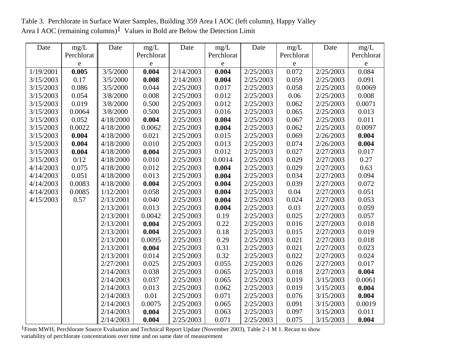Table 3. Perchlorate in Surface Water Samples, Building 359 Area I AOC (left column), Happy Valley Area I AOC (remaining columns)<sup>1</sup> Values in Bold are Below the Detection Limit

| Date      | mg/L       | Date      | mg/L       | Date      | mg/L       | Date      | mg/L               | Date      | mg/L       |
|-----------|------------|-----------|------------|-----------|------------|-----------|--------------------|-----------|------------|
|           | Perchlorat |           | Perchlorat |           | Perchlorat |           | Perchlorat         |           | Perchlorat |
|           | e          |           | e          |           | ${\bf e}$  |           | $\mathbf e$        |           | ${\bf e}$  |
| 1/19/2001 | 0.005      | 3/5/2000  | 0.004      | 2/14/2003 | 0.004      | 2/25/2003 | $\overline{0.072}$ | 2/25/2003 | 0.084      |
| 3/15/2003 | 0.17       | 3/5/2000  | 0.008      | 2/14/2003 | 0.004      | 2/25/2003 | 0.059              | 2/25/2003 | 0.091      |
| 3/15/2003 | 0.086      | 3/5/2000  | 0.044      | 2/25/2003 | 0.017      | 2/25/2003 | 0.058              | 2/25/2003 | 0.0069     |
| 3/15/2003 | 0.054      | 3/8/2000  | 0.008      | 2/25/2003 | 0.012      | 2/25/2003 | 0.06               | 2/25/2003 | 0.008      |
| 3/15/2003 | 0.019      | 3/8/2000  | 0.500      | 2/25/2003 | 0.012      | 2/25/2003 | 0.062              | 2/25/2003 | 0.0071     |
| 3/15/2003 | 0.0064     | 3/8/2000  | 0.500      | 2/25/2003 | 0.016      | 2/25/2003 | 0.065              | 2/25/2003 | 0.013      |
| 3/15/2003 | 0.052      | 4/18/2000 | 0.004      | 2/25/2003 | 0.004      | 2/25/2003 | 0.067              | 2/25/2003 | 0.011      |
| 3/15/2003 | 0.0022     | 4/18/2000 | 0.0062     | 2/25/2003 | 0.004      | 2/25/2003 | 0.062              | 2/25/2003 | 0.0097     |
| 3/15/2003 | 0.004      | 4/18/2000 | 0.021      | 2/25/2003 | 0.015      | 2/25/2003 | 0.069              | 2/26/2003 | 0.004      |
| 3/15/2003 | 0.004      | 4/18/2000 | 0.010      | 2/25/2003 | 0.013      | 2/25/2003 | 0.074              | 2/26/2003 | 0.004      |
| 3/15/2003 | 0.004      | 4/18/2000 | 0.004      | 2/25/2003 | 0.012      | 2/25/2003 | 0.027              | 2/27/2003 | 0.017      |
| 3/15/2003 | 0/12       | 4/18/2000 | 0.010      | 2/25/2003 | 0.0014     | 2/25/2003 | 0.029              | 2/27/2003 | 0.27       |
| 4/14/2003 | 0.075      | 4/18/2000 | 0.012      | 2/25/2003 | 0.004      | 2/25/2003 | 0.029              | 2/27/2003 | 0.63       |
| 4/14/2003 | 0.051      | 4/18/2000 | 0.013      | 2/25/2003 | 0.004      | 2/25/2003 | 0.034              | 2/27/2003 | 0.094      |
| 4/14/2003 | 0.0083     | 4/18/2000 | 0.004      | 2/25/2003 | 0.004      | 2/25/2003 | 0.039              | 2/27/2003 | 0.072      |
| 4/14/2003 | 0.0085     | 1/12/2001 | 0.058      | 2/25/2003 | 0.004      | 2/25/2003 | 0.04               | 2/27/2003 | 0.051      |
| 4/15/2003 | 0.57       | 2/13/2001 | 0.040      | 2/25/2003 | 0.004      | 2/25/2003 | 0.024              | 2/27/2003 | 0.053      |
|           |            | 2/13/2001 | 0.013      | 2/25/2003 | 0.004      | 2/25/2003 | 0.03               | 2/27/2003 | 0.059      |
|           |            | 2/13/2001 | 0.0042     | 2/25/2003 | 0.19       | 2/25/2003 | 0.025              | 2/27/2003 | 0.057      |
|           |            | 2/13/2001 | 0.004      | 2/25/2003 | 0.22       | 2/25/2003 | 0.016              | 2/27/2003 | 0.018      |
|           |            | 2/13/2001 | 0.004      | 2/25/2003 | 0.18       | 2/25/2003 | 0.015              | 2/27/2003 | 0.019      |
|           |            | 2/13/2001 | 0.0095     | 2/25/2003 | 0.29       | 2/25/2003 | 0.021              | 2/27/2003 | 0.018      |
|           |            | 2/13/2001 | 0.004      | 2/25/2003 | 0.31       | 2/25/2003 | 0.021              | 2/27/2003 | 0.023      |
|           |            | 2/13/2001 | 0.014      | 2/25/2003 | 0.32       | 2/25/2003 | 0.022              | 2/27/2003 | 0.024      |
|           |            | 2/27/2001 | 0.025      | 2/25/2003 | 0.055      | 2/25/2003 | 0.026              | 2/27/2003 | 0.017      |
|           |            | 2/14/2003 | 0.038      | 2/25/2003 | 0.065      | 2/25/2003 | 0.018              | 2/27/2003 | 0.004      |
|           |            | 2/14/2003 | 0.037      | 2/25/2003 | 0.065      | 2/25/2003 | 0.019              | 3/15/2003 | 0.0061     |
|           |            | 2/14/2003 | 0.013      | 2/25/2003 | 0.062      | 2/25/2003 | 0.019              | 3/15/2003 | 0.004      |
|           |            | 2/14/2003 | 0.01       | 2/25/2003 | 0.071      | 2/25/2003 | 0.076              | 3/15/2003 | 0.004      |
|           |            | 2/14/2003 | 0.0075     | 2/25/2003 | 0.065      | 2/25/2003 | 0.091              | 3/15/2003 | 0.0019     |
|           |            | 2/14/2003 | 0.004      | 2/25/2003 | 0.063      | 2/25/2003 | 0.097              | 3/15/2003 | 0.011      |
|           |            | 2/14/2003 | 0.004      | 2/25/2003 | 0.071      | 2/25/2003 | 0.075              | 3/15/2003 | 0.004      |

 $1$ From MWH, Perchlorate Source Evaluation and Technical Report Update (November 2003), Table 2-1 M 1. Recast to show variability of perchlorate concentrations over time and on same date of measurement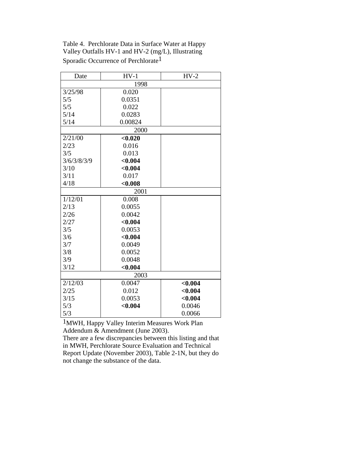Table 4. Perchlorate Data in Surface Water at Happy Valley Outfalls HV-1 and HV-2 (mg/L), Illustrating Sporadic Occurrence of Perchlorate1

| Date        | $HV-1$  | $HV-2$  |  |  |  |  |
|-------------|---------|---------|--|--|--|--|
| 1998        |         |         |  |  |  |  |
| 3/25/98     | 0.020   |         |  |  |  |  |
| 5/5         | 0.0351  |         |  |  |  |  |
| 5/5         | 0.022   |         |  |  |  |  |
| 5/14        | 0.0283  |         |  |  |  |  |
| 5/14        | 0.00824 |         |  |  |  |  |
|             | 2000    |         |  |  |  |  |
| 2/21/00     | < 0.020 |         |  |  |  |  |
| 2/23        | 0.016   |         |  |  |  |  |
| 3/5         | 0.013   |         |  |  |  |  |
| 3/6/3/8/3/9 | < 0.004 |         |  |  |  |  |
| 3/10        | < 0.004 |         |  |  |  |  |
| 3/11        | 0.017   |         |  |  |  |  |
| 4/18        | < 0.008 |         |  |  |  |  |
|             | 2001    |         |  |  |  |  |
| 1/12/01     | 0.008   |         |  |  |  |  |
| 2/13        | 0.0055  |         |  |  |  |  |
| 2/26        | 0.0042  |         |  |  |  |  |
| 2/27        | < 0.004 |         |  |  |  |  |
| 3/5         | 0.0053  |         |  |  |  |  |
| 3/6         | < 0.004 |         |  |  |  |  |
| 3/7         | 0.0049  |         |  |  |  |  |
| 3/8         | 0.0052  |         |  |  |  |  |
| 3/9         | 0.0048  |         |  |  |  |  |
| 3/12        | < 0.004 |         |  |  |  |  |
| 2003        |         |         |  |  |  |  |
| 2/12/03     | 0.0047  | < 0.004 |  |  |  |  |
| 2/25        | 0.012   | < 0.004 |  |  |  |  |
| 3/15        | 0.0053  | < 0.004 |  |  |  |  |
| 5/3         | < 0.004 | 0.0046  |  |  |  |  |
| 5/3         |         | 0.0066  |  |  |  |  |

1MWH, Happy Valley Interim Measures Work Plan Addendum & Amendment (June 2003).

There are a few discrepancies between this listing and that in MWH, Perchlorate Source Evaluation and Technical Report Update (November 2003), Table 2-1N, but they do not change the substance of the data.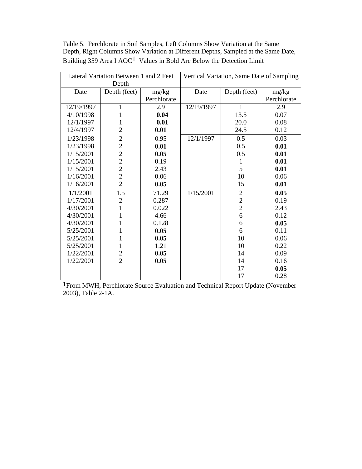| Table 5. Perchlorate in Soil Samples, Left Columns Show Variation at the Same      |
|------------------------------------------------------------------------------------|
| Depth, Right Columns Show Variation at Different Depths, Sampled at the Same Date, |
| Building 359 Area I AOC <sup>1</sup> Values in Bold Are Below the Detection Limit  |

| Lateral Variation Between 1 and 2 Feet |                                            | Vertical Variation, Same Date of Sampling |            |                |             |
|----------------------------------------|--------------------------------------------|-------------------------------------------|------------|----------------|-------------|
| Depth                                  |                                            |                                           |            |                |             |
| Date                                   | Depth (feet)                               | mg/kg                                     | Date       | Depth (feet)   | mg/kg       |
|                                        |                                            | Perchlorate                               |            |                | Perchlorate |
| 12/19/1997                             | 1                                          | 2.9                                       | 12/19/1997 | 1              | 2.9         |
| 4/10/1998                              | $\mathbf{1}$                               | 0.04                                      |            | 13.5           | 0.07        |
| 12/1/1997                              | 1                                          | 0.01                                      |            | 20.0           | 0.08        |
| 12/4/1997                              | $\overline{2}$                             | 0.01                                      |            | 24.5           | 0.12        |
| 1/23/1998                              | $\overline{c}$                             | 0.95                                      | 12/1/1997  | 0.5            | 0.03        |
| 1/23/1998                              | $\overline{c}$                             | 0.01                                      |            | 0.5            | 0.01        |
| 1/15/2001                              | $\overline{c}$                             | 0.05                                      |            | 0.5            | 0.01        |
| 1/15/2001                              |                                            | 0.19                                      |            | $\mathbf{1}$   | 0.01        |
| 1/15/2001                              | $\begin{array}{c} 2 \\ 2 \\ 2 \end{array}$ | 2.43                                      |            | 5              | 0.01        |
| 1/16/2001                              |                                            | 0.06                                      |            | 10             | 0.06        |
| 1/16/2001                              | $\overline{2}$                             | 0.05                                      |            | 15             | 0.01        |
| 1/1/2001                               | 1.5                                        | 71.29                                     | 1/15/2001  | $\mathfrak{2}$ | 0.05        |
| 1/17/2001                              | $\overline{2}$                             | 0.287                                     |            | $\overline{c}$ | 0.19        |
| 4/30/2001                              | $\mathbf{1}$                               | 0.022                                     |            | $\overline{c}$ | 2.43        |
| 4/30/2001                              | 1                                          | 4.66                                      |            | $\sqrt{6}$     | 0.12        |
| 4/30/2001                              | 1                                          | 0.128                                     |            | 6              | 0.05        |
| 5/25/2001                              | 1                                          | 0.05                                      |            | 6              | 0.11        |
| 5/25/2001                              | $\mathbf{1}$                               | 0.05                                      |            | 10             | 0.06        |
| 5/25/2001                              | $\mathbf{1}$                               | 1.21                                      |            | 10             | 0.22        |
| 1/22/2001                              | $\mathbf{2}$                               | 0.05                                      |            | 14             | 0.09        |
| 1/22/2001                              | $\overline{2}$                             | 0.05                                      |            | 14             | 0.16        |
|                                        |                                            |                                           |            | 17             | 0.05        |
|                                        |                                            |                                           |            | 17             | 0.28        |

1From MWH, Perchlorate Source Evaluation and Technical Report Update (November 2003), Table 2-1A.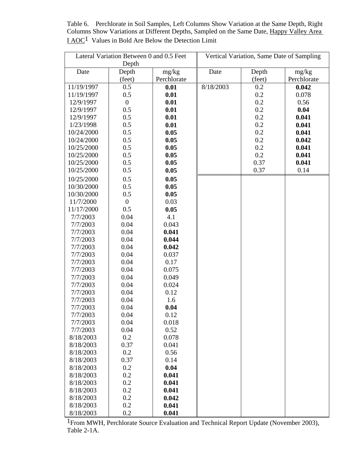Table 6. Perchlorate in Soil Samples, Left Columns Show Variation at the Same Depth, Right Columns Show Variations at Different Depths, Sampled on the Same Date, Happy Valley Area I AOC1 Values in Bold Are Below the Detection Limit

| Lateral Variation Between 0 and 0.5 Feet |                  | Vertical Variation, Same Date of Sampling |           |        |             |
|------------------------------------------|------------------|-------------------------------------------|-----------|--------|-------------|
|                                          | Depth            |                                           |           |        |             |
| Date                                     | Depth            | mg/kg                                     | Date      | Depth  | mg/kg       |
|                                          | (feet)           | Perchlorate                               |           | (feet) | Perchlorate |
| 11/19/1997                               | 0.5              | 0.01                                      | 8/18/2003 | 0.2    | 0.042       |
| 11/19/1997                               | 0.5              | 0.01                                      |           | 0.2    | 0.078       |
| 12/9/1997                                | $\boldsymbol{0}$ | 0.01                                      |           | 0.2    | 0.56        |
| 12/9/1997                                | 0.5              | 0.01                                      |           | 0.2    | 0.04        |
| 12/9/1997                                | 0.5              | 0.01                                      |           | 0.2    | 0.041       |
| 1/23/1998                                | 0.5              | 0.01                                      |           | 0.2    | 0.041       |
| 10/24/2000                               | 0.5              | 0.05                                      |           | 0.2    | 0.041       |
| 10/24/2000                               | 0.5              | 0.05                                      |           | 0.2    | 0.042       |
| 10/25/2000                               | 0.5              | 0.05                                      |           | 0.2    | 0.041       |
| 10/25/2000                               | 0.5              | 0.05                                      |           | 0.2    | 0.041       |
| 10/25/2000                               | 0.5              | 0.05                                      |           | 0.37   | 0.041       |
| 10/25/2000                               | 0.5              | 0.05                                      |           | 0.37   | 0.14        |
| 10/25/2000                               | 0.5              | 0.05                                      |           |        |             |
| 10/30/2000                               | 0.5              | 0.05                                      |           |        |             |
| 10/30/2000                               | 0.5              | 0.05                                      |           |        |             |
| 11/7/2000                                | $\boldsymbol{0}$ | 0.03                                      |           |        |             |
| 11/17/2000                               | 0.5              | 0.05                                      |           |        |             |
| 7/7/2003                                 | 0.04             | 4.1                                       |           |        |             |
| 7/7/2003                                 | 0.04             | 0.043                                     |           |        |             |
| 7/7/2003                                 | 0.04             | 0.041                                     |           |        |             |
| 7/7/2003                                 | 0.04             | 0.044                                     |           |        |             |
| 7/7/2003                                 | 0.04             | 0.042                                     |           |        |             |
| 7/7/2003                                 | 0.04             | 0.037                                     |           |        |             |
| 7/7/2003                                 | 0.04             | 0.17                                      |           |        |             |
| 7/7/2003                                 | 0.04             | 0.075                                     |           |        |             |
| 7/7/2003                                 | 0.04             | 0.049                                     |           |        |             |
| 7/7/2003                                 | 0.04             | 0.024                                     |           |        |             |
| 7/7/2003                                 | 0.04             | 0.12                                      |           |        |             |
| 7/7/2003                                 | 0.04             | 1.6                                       |           |        |             |
| 7/7/2003                                 | 0.04             | 0.04                                      |           |        |             |
| 7/7/2003                                 | 0.04             | 0.12                                      |           |        |             |
| 7/7/2003                                 | 0.04             | 0.018                                     |           |        |             |
| 7/7/2003                                 | 0.04             | 0.52                                      |           |        |             |
| 8/18/2003                                | 0.2              | 0.078                                     |           |        |             |
| 8/18/2003                                | 0.37             | 0.041                                     |           |        |             |
| 8/18/2003                                | 0.2              | 0.56                                      |           |        |             |
| 8/18/2003                                | 0.37             | 0.14                                      |           |        |             |
| 8/18/2003                                | 0.2              | 0.04                                      |           |        |             |
| 8/18/2003                                | 0.2              | 0.041                                     |           |        |             |
| 8/18/2003                                | 0.2              | 0.041                                     |           |        |             |
| 8/18/2003                                | 0.2              | 0.041                                     |           |        |             |
| 8/18/2003                                | 0.2              | 0.042                                     |           |        |             |
| 8/18/2003                                | 0.2              | 0.041                                     |           |        |             |
| 8/18/2003                                | 0.2              | 0.041                                     |           |        |             |

1From MWH, Perchlorate Source Evaluation and Technical Report Update (November 2003), Table 2-1A.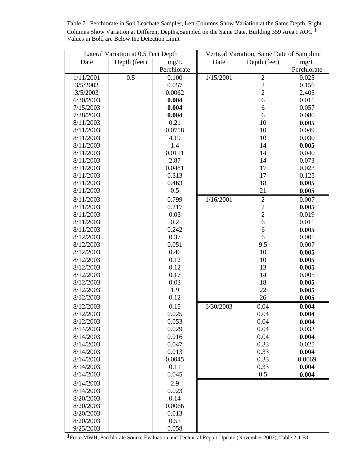Table 7. Perchlorate in Soil Leachate Samples, Left Columns Show Variation at the Same Depth, Right Columns Show Variation at Different Depths, Sampled on the Same Date, Building 359 Area I AOC.<sup>1</sup> Values in Bold are Below the Detection Limit

|                        | Lateral Variation at 0.5 Feet Depth |             |           | Vertical Variation, Same Date of Sampline  |             |
|------------------------|-------------------------------------|-------------|-----------|--------------------------------------------|-------------|
| Date                   | Depth (feet)                        | mg/L        | Date      | Depth (feet)                               | mg/L        |
|                        |                                     | Perchlorate |           |                                            | Perchlorate |
| 1/11/2001              | 0.5                                 | 0.100       | 1/15/2001 | $\overline{2}$                             | 0.025       |
| 3/5/2003               |                                     | 0.057       |           | $\overline{\mathbf{c}}$                    | 0.156       |
| 3/5/2003               |                                     | 0.0062      |           | $\overline{c}$                             | 2.403       |
| 6/30/2003              |                                     | 0.004       |           | $\overline{6}$                             | 0.015       |
| 7/15/2003              |                                     | 0.004       |           | 6                                          | 0.057       |
| 7/28/2003              |                                     | 0.004       |           | 6                                          | 0.080       |
| 8/11/2003              |                                     | 0.21        |           | 10                                         | 0.005       |
| 8/11/2003              |                                     | 0.0718      |           | 10                                         | 0.049       |
| 8/11/2003              |                                     | 4.19        |           | 10                                         | 0.030       |
| 8/11/2003              |                                     | 1.4         |           | 14                                         | 0.005       |
| 8/11/2003              |                                     | 0.0111      |           | 14                                         | 0.040       |
| 8/11/2003              |                                     | 2.87        |           | 14                                         | 0.073       |
| 8/11/2003              |                                     | 0.0481      |           | 17                                         | 0.023       |
| 8/11/2003              |                                     | 0.313       |           | 17                                         | 0.125       |
| 8/11/2003              |                                     | 0.463       |           | 18                                         | 0.005       |
| 8/11/2003              |                                     | 0.5         |           | 21                                         | 0.005       |
|                        |                                     |             |           |                                            | 0.007       |
| 8/11/2003<br>8/11/2003 |                                     | 0.799       | 1/16/2001 | $\overline{c}$                             |             |
|                        |                                     | 0.217       |           | $\begin{array}{c} 2 \\ 2 \\ 6 \end{array}$ | 0.005       |
| 8/11/2003              |                                     | 0.03        |           |                                            | 0.019       |
| 8/11/2003              |                                     | 0.2         |           |                                            | 0.011       |
| 8/11/2003              |                                     | 0.242       |           | $\boldsymbol{6}$                           | 0.005       |
| 8/12/2003              |                                     | 0.37        |           | 6                                          | 0.005       |
| 8/12/2003              |                                     | 0.051       |           | 9.5                                        | 0.007       |
| 8/12/2003              |                                     | 0.46        |           | 10                                         | 0.005       |
| 8/12/2003              |                                     | 0.12        |           | 10                                         | 0.005       |
| 8/12/2003              |                                     | 0.12        |           | 13                                         | 0.005       |
| 8/12/2003              |                                     | 0.17        |           | 14                                         | 0.005       |
| 8/12/2003              |                                     | 0.03        |           | 18                                         | 0.005       |
| 8/12/2003              |                                     | 1.9         |           | 22                                         | 0.005       |
| 8/12/2003              |                                     | 0.12        |           | 26                                         | 0.005       |
| 8/12/2003              |                                     | 0.15        | 6/30/2003 | 0.04                                       | 0.004       |
| 8/12/2003              |                                     | 0.025       |           | 0.04                                       | 0.004       |
| 8/12/2003              |                                     | 0.053       |           | 0.04                                       | 0.004       |
| 8/14/2003              |                                     | 0.029       |           | 0.04                                       | 0.033       |
| 8/14/2003              |                                     | 0.016       |           | 0.04                                       | 0.004       |
| 8/14/2003              |                                     | 0.047       |           | 0.33                                       | 0.025       |
| 8/14/2003              |                                     | 0.013       |           | 0.33                                       | 0.004       |
| 8/14/2003              |                                     | 0.0045      |           | 0.33                                       | 0.0069      |
| 8/14/2003              |                                     | 0.11        |           | 0.33                                       | 0.004       |
| 8/14/2003              |                                     | 0.045       |           | 0.5                                        | 0.004       |
| 8/14/2003              |                                     | 2.9         |           |                                            |             |
| 8/14/2003              |                                     | 0.023       |           |                                            |             |
| 8/20/2003              |                                     | 0.14        |           |                                            |             |
| 8/20/2003              |                                     | 0.0066      |           |                                            |             |
| 8/20/2003              |                                     | 0.013       |           |                                            |             |
| 8/20/2003              |                                     | 0.51        |           |                                            |             |
| 9/25/2003              |                                     | 0.058       |           |                                            |             |

1From MWH, Perchlorate Source Evaluation and Technical Report Update (November 2003), Table 2-1 B1.